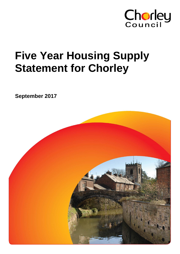

# **Five Year Housing Supply Statement for Chorley**

**September 2017**

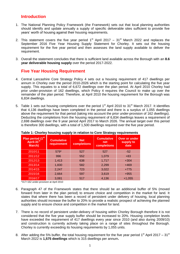# **Introduction**

- 1. The National Planning Policy Framework (the Framework) sets out that local planning authorities should identify and update annually a supply of specific deliverable sites sufficient to provide five years' worth of housing against their housing requirements.
- 2. This statement covers the five year period  $1<sup>st</sup>$  April 2017 31<sup>st</sup> March 2022 and replaces the September 2016 Five Year Housing Supply Statement for Chorley. It sets out the housing requirement for the five year period and then assesses the land supply available to deliver the requirement.
- 3. Overall the statement concludes that there is sufficient land available across the Borough with an **8.6 year deliverable housing supply** over the period 2017-2022.

# **Five Year Housing Requirement**

- 4. Central Lancashire Core Strategy Policy 4 sets out a housing requirement of 417 dwellings per annum in Chorley over the period 2010-2026 which is the starting point for calculating the five year supply. This equates to a total of 6,672 dwellings over the plan period. At April 2010 Chorley had prior under-provision of 162 dwellings, which Policy 4 requires the Council to make up over the remainder of the plan period. Therefore, at April 2010 the housing requirement for the Borough was 6,834 dwellings.
- 5. Table 1 sets out housing completions over the period 1<sup>st</sup> April 2010 to 31<sup>st</sup> March 2017. It identifies that 4,136 dwellings have been completed in the period and there is a surplus of 1,055 dwellings above the requirement for that period (taking into account the prior under-provision of 162 dwellings). Deducting the completions from the housing requirement of 6,834 dwellings leaves a requirement of 2,698 dwellings over the 9 year period April 2017 to March 2026. The annual target over this period is therefore 300 dwellings, with a total of 1,500 dwellings required over the five year period.

| Plan period (1 <sup>st</sup><br>April-31 <sup>st</sup><br>March) | <b>Cumulative</b><br>requirement | <b>Net</b><br>completions | <b>Cumulative</b><br>net<br>completions | <b>Over or under</b><br>supply to<br>date |
|------------------------------------------------------------------|----------------------------------|---------------------------|-----------------------------------------|-------------------------------------------|
| 2010/11                                                          | 579*                             | 527                       | 527                                     | $-52$                                     |
| 2011/12                                                          | 996                              | 552                       | 1,079                                   | $+83$                                     |
| 2012/13                                                          | 1,413                            | 638                       | 1,717                                   | $+304$                                    |
| 2013/14                                                          | 1,830                            | 582                       | 2,299                                   | $+469$                                    |
| 2014/15                                                          | 2,247                            | 723                       | 3,022                                   | $+775$                                    |
| 2015/16                                                          | 2,664                            | 597                       | 3,619                                   | $+955$                                    |
| 2016/17                                                          | 3,081                            | 517                       | 4,136                                   | $+1,055$                                  |

#### **Table 1: Chorley housing supply in relation to Core Strategy requirements**

\*417+162 under-provision at April 2010

- 6. Paragraph 47 of the Framework states that there should be an additional buffer of 5% (moved forward from later in the plan period) to ensure choice and competition in the market for land. It states that where there has been a record of persistent under delivery of housing, local planning authorities should increase the buffer to 20% to provide a realistic prospect of achieving the planned supply and to ensure choice and competition in the market for land.
- 7. There is no record of persistent under-delivery of housing within Chorley Borough therefore it is not considered that the five year supply buffer should be increased to 20%. Housing completion levels have exceeded the requirement of 417 dwellings every year since 2010 (and also during 2009/10) and construction is currently actively taking place on a range of sites throughout the Borough. Chorley is currently exceeding its housing requirements by 1,055 units.
- 8. After adding the 5% buffer, the total housing requirement for the five year period 1<sup>st</sup> April 2017 31<sup>st</sup> March 2022 is **1,575 dwellings** which is 315 dwellings per annum**.**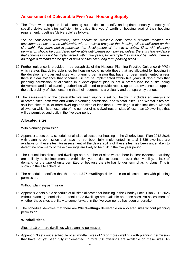## **Assessment of Deliverable Five Year Housing Supply**

9. The Framework requires local planning authorities to identify and update annually a supply of specific deliverable sites sufficient to provide five years' worth of housing against their housing requirement. It defines 'deliverable' as follows:

*"To be considered deliverable, sites should be available now, offer a suitable location for development now, and be achievable with a realistic prospect that housing will be delivered on the site within five years and in particular that development of the site is viable. Sites with planning permission should be considered deliverable until permission expires, unless there is clear evidence that schemes will not be implemented within five years, for example they will not be viable, there is no longer a demand for the type of units or sites have long term phasing plans."*

- 10. Further guidance is provided in paragraph 31 of the National Planning Practice Guidance (NPPG) which states that deliverable sites for housing could include those that are allocated for housing in the development plan and sites with planning permission that have not been implemented unless there is clear evidence that schemes will not be implemented within five years. It also states that planning permission or allocation in a development plan is not a prerequisite for a site being deliverable and local planning authorities will need to provide robust, up to date evidence to support the deliverability of sites, ensuring that their judgements are clearly and transparently set out.
- 11. The assessment of the deliverable five year supply is set out below. It includes an analysis of allocated sites, both with and without planning permission, and windfall sites. The windfall sites are split into sites of 10 or more dwellings and sites of less than 10 dwellings. It also includes a windfall allowance which is an estimate of the number of new dwellings on sites of less than 10 dwellings that will be permitted and built in the five year period.

#### **Allocated sites**

#### With planning permission

- 12. Appendix 1 sets out a schedule of all sites allocated for housing in the Chorley Local Plan 2012-2026 with planning permission that have not yet been fully implemented. In total 1,839 dwellings are available on these sites. An assessment of the deliverability of these sites has been undertaken to determine how many of these dwellings are likely to be built in the five year period.
- 13. The Council has discounted dwellings on a number of sites where there is clear evidence that they are unlikely to be implemented within five years, due to concerns over their viability, a lack of demand for the type of units permitted or because the site has longer term phasing plans. This is shown in the site schedule.
- 14. The schedule identifies that there are **1,627 dwellings** deliverable on allocated sites with planning permission.

#### Without planning permission

- 15. Appendix 2 sets out a schedule of all sites allocated for housing in the Chorley Local Plan 2012-2026 without planning permission. In total 1,082 dwellings are available on these sites. An assessment of whether these sites are likely to come forward in the five year period has been undertaken.
- 16. The schedule identifies that there are **299 dwellings** deliverable on allocated sites without planning permission.

### **Windfall sites**

#### Sites of 10 or more dwellings with planning permission

17. Appendix 3 sets out a schedule of all windfall sites of 10 or more dwellings with planning permission that have not yet been fully implemented. In total 536 dwellings are available on these sites. An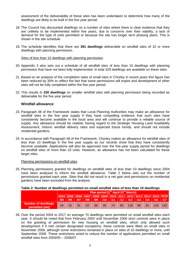assessment of the deliverability of these sites has been undertaken to determine how many of the dwellings are likely to be built in the five year period.

- 18. The Council has discounted dwellings on a number of sites where there is clear evidence that they are unlikely to be implemented within five years, due to concerns over their viability, a lack of demand for the type of units permitted or because the site has longer term phasing plans. This is shown in the site schedule.
- 19. The schedule identifies that there are **391 dwellings** deliverable on windfall sites of 10 or more dwellings with planning permission.

Sites of less than 10 dwellings with planning permission

- 20. Appendix 3 also sets out a schedule of all windfall sites of less than 10 dwellings with planning permission that have not been fully implemented. In total 329 dwellings are available on these sites.
- 21. Based on an analysis of the completion rates of small sites in Chorley in recent years this figure has been reduced by 30% to reflect the fact that some permissions will expire and development of other sites will not be fully completed within the five year period.
- 22. This results in **230 dwellings** on smaller windfall sites with planning permission being recorded as deliverable for the five year period.

#### **Windfall allowance**

- 23. Paragraph 48 of the Framework states that Local Planning Authorities may make an allowance for windfall sites in the five year supply if they have compelling evidence that such sites have consistently become available in the local area and will continue to provide a reliable source of supply. Any allowance should be realistic having regard to the Strategic Housing Land Availability Assessment, historic windfall delivery rates and expected future trends, and should not include residential gardens.
- 24. In accordance with Paragraph 48 of the Framework, Chorley makes an allowance for windfall sites of less than 10 dwellings in the five year supply as our records show that they have consistently become available. Applications will also be approved over the five-year supply period for dwellings on windfall sites of more than 10 units. However, an allowance has not been calculated for these larger sites.

#### Planning permissions on windfall sites

25. Planning permissions granted for dwellings on windfall sites of less than 10 dwellings since 2004 have been analysed to inform the windfall allowance. Table 2 below sets out the number of permissions granted each year. Sites that did not result in a net gain and permissions on residential gardens have been excluded from the analysis.

#### **Table 2: Number of dwellings permitted on small windfall sites of less than 10 dwellings**

|                                               |      | Plan period (1 <sup>st</sup> April-31 <sup>st</sup> March) |     |    |    |        |    |    |                                                                                                                                       |    |       |     |     |
|-----------------------------------------------|------|------------------------------------------------------------|-----|----|----|--------|----|----|---------------------------------------------------------------------------------------------------------------------------------------|----|-------|-----|-----|
|                                               | /05/ | /06                                                        |     |    |    |        |    |    | 2004 2005 2006 2007 2008 2009 2010 2011 2012 2013 2014 2015 2016<br>  107   108   109   110   111   112   113   114   115   116   117 |    |       |     |     |
| <b>Number of dwellings</b><br>permitted (net) | 19   | 31                                                         | -31 | 52 | 68 | - 35 - | 74 | 60 | 116                                                                                                                                   | 96 | $-91$ | 116 | 122 |

26. Over the period 2004 to 2017 on average 70 dwellings were permitted on small windfall sites each year. It should be noted that from February 2004 until November 2006 strict controls were in place on the granting of permission for new housing on windfall sites, which only allowed such development if it met certain designated exceptions; these controls were lifted on small sites in November 2006, although some restrictions remained in place on sites of 10 dwellings or more, until September 2008. These restrictions acted to reduce the number of applications permitted on small windfall sites from 2004/05 – 2006/07.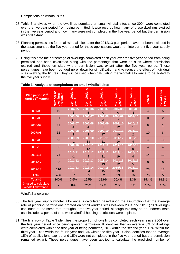#### Completions on windfall sites

- 27. Table 3 analyses when the dwellings permitted on small windfall sites since 2004 were completed over the five year period from being permitted. It also records how many of these dwellings expired in the five year period and how many were not completed in the five year period but the permission was still extant.
- 28. Planning permissions for small windfall sites after the 2012/13 plan period have not been included in the assessment as the five year period for those applications would run into current five year supply period.
- 29. Using this data the percentage of dwellings completed each year over the five year period from being permitted has been calculated along with the percentage that were on sites where permission expired and those on sites where permission was extant after the five year period. These percentages have been rounded up or down for simplification and to reduce the effect of individual sites skewing the figures. They will be used when calculating the windfall allowance to be added to the five year supply.

| Plan period (1 <sup>st</sup><br>April-31 <sup>st</sup> March) | Number of<br>permitted<br>dwellings | Completions<br>٠<br>year  | Completions<br>. N<br>year | Completions<br>$\infty$<br>year | Completions<br>$\overline{\phantom{a}}$<br>year | Completions<br>5<br>year  | Expired        | Extant after<br>5 years |
|---------------------------------------------------------------|-------------------------------------|---------------------------|----------------------------|---------------------------------|-------------------------------------------------|---------------------------|----------------|-------------------------|
| 2004/05                                                       | 19                                  | 2004/05<br>6              | 2005/06<br>5               | 2006/07<br>0                    | 2007/08<br>0                                    | 2008/09<br>$-1$           | $\overline{4}$ | 5                       |
| 2005/06                                                       | 31                                  | 2005/06<br>11             | 2006/07<br>$\overline{7}$  | 2007/08<br>3                    | 2008/09<br>$\overline{7}$                       | 2009/10                   | $\overline{0}$ | $\overline{2}$          |
| 2006/07                                                       | 31                                  | 2006/07<br>4              | 2007/08<br>4               | 2008/09                         | 2009/10<br>12                                   | 2010/11                   | 8              | 1                       |
| 2007/08                                                       | 52                                  | 2007/08<br>$\overline{2}$ | 2008/09<br>3               | 2009/10<br>17                   | 2010/11<br>10                                   | 2011/12<br>$\overline{2}$ | 10             | 8                       |
| 2008/09                                                       | 68                                  | 2008/09<br>$-1$           | 2009/10<br>18              | 2010/11<br>11                   | 2011/12<br>16                                   | 2012/13<br>4              | $\overline{4}$ | 16                      |
| 2009/10                                                       | 35                                  | 2009/10<br>6              | 2010/11<br>12              | 2011/12<br>5                    | 2012/13<br>4                                    | 2013/14<br>0              | $\overline{4}$ | $\overline{4}$          |
| 2010/11                                                       | 74                                  | 2010/11<br>$-1$           | 2011/12<br>4               | 2012/13<br>21                   | 2013/14<br>19                                   | 2014/15<br>4              | 14             | 13                      |
| 2011/12                                                       | 60                                  | 2011/12<br>$\overline{2}$ | 2012/13<br>8               | 2013/14<br>19                   | 2014/15<br>12                                   | 2015/16<br>5              | 8              | $6\phantom{1}6$         |
| 2012/13                                                       | 116                                 | 2012/13<br>8              | 2013/14<br>34              | 2014/15<br>15                   | 2015/16<br>19                                   | 2016/17<br>0              | 23             | 17                      |
| <b>Total</b>                                                  | 486                                 | 37                        | 95                         | 92                              | 99                                              | 16                        | 75             | 72                      |
| Total %                                                       | 100%                                | 7.6%                      | 19.5%                      | 18.9%                           | 20.4%                                           | 3.3%                      | 15.4%          | 14.8%                   |
| % used to calculate<br>windfall allowance                     |                                     | 8%                        | 20%                        | 19%                             | 20%                                             | 3%                        | 15%            | 15%                     |

#### **Table 3: Analysis of completions on small windfall sites**

#### Windfall allowance

- 30. The five year supply windfall allowance is calculated based upon the assumption that the average rate of planning permissions granted on small windfall sites between 2004 and 2017 (70 dwellings) continues at the same rate throughout the five year period, although this may be an underestimate as it includes a period of time when windfall housing restrictions were in place.
- 31. The final row of Table 3 identifies the proportion of dwellings completed each year since 2004 over the five year period since being granted permission. It identifies that on average 8% of dwellings were completed within the first year of being permitted, 20% within the second year, 19% within the third year, 20% within the fourth year and 3% within the fifth year. It also identifies that on average 15% of applications expired and 15% were not completed in the five year period but the permission remained extant. These percentages have been applied to calculate the predicted number of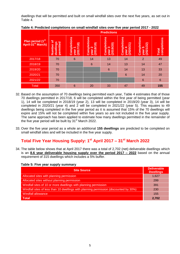dwellings that will be permitted and built on small windfall sites over the next five years, as set out in Table 4.

|                                                                |                                     |                                    |                                              | <b>Predictions</b>                      |                                    |                                    |                             |
|----------------------------------------------------------------|-------------------------------------|------------------------------------|----------------------------------------------|-----------------------------------------|------------------------------------|------------------------------------|-----------------------------|
| Plan period (1 <sup>st)</sup><br>April-31 <sup>st</sup> March) | Number of<br>permitted<br>dwellings | Completions<br>year 1<br>(2017/18) | <b>Completions</b><br>8/19)<br>year<br>(2018 | Completions<br>year 3<br>(2019/20)<br>S | Completions<br>year 4<br>(2020/21) | Completions<br>year 5<br>(2021/22) | completions<br><b>Total</b> |
| 2017/18                                                        | 70                                  | 6                                  | 14                                           | 13                                      | 14                                 | 2                                  | 49                          |
| 2018/19                                                        | 70                                  |                                    | 6                                            | 14                                      | 13                                 | 14                                 | 47                          |
| 2019/20                                                        | 70                                  |                                    |                                              | $6\phantom{1}6$                         | 14                                 | 13                                 | 33                          |
| 2020/21                                                        | 70                                  |                                    |                                              |                                         | $6\phantom{1}6$                    | 14                                 | 20                          |
| 2021/22                                                        | 70                                  |                                    |                                              |                                         |                                    | $6\phantom{1}6$                    | $6\phantom{1}6$             |
| <b>Total</b>                                                   | 350                                 | 6                                  | 20                                           | 33                                      | 47                                 | 49                                 | 155                         |

**Table 4: Predicted completions on small windfall sites over five year period 2017 - 2022**

- 32. Based on the assumption of 70 dwellings being permitted each year, Table 4 estimates that of those 70 dwellings permitted in 2017/18, 6 will be completed within the first year of being permitted (year 1), 14 will be completed in 2018/19 (year 2), 13 will be completed in 2019/20 (year 3), 14 will be completed in 2020/21 (year 4) and 2 will be completed in 2021/22 (year 5). This equates to 49 dwellings being completed in the five year period as it is assumed that 15% of the 70 dwellings will expire and 15% will not be completed within five years so are not included in the five year supply. The same approach has been applied to estimate how many dwellings permitted in the remainder of the five year period will be built by  $31<sup>st</sup>$  March 2022.
- 33. Over the five year period as a whole an additional **155 dwellings** are predicted to be completed on small windfall sites and will be included in the five year supply.

# **Total Five Year Housing Supply: 1 st April 2017 – 31st March 2022**

34. The table below shows that at April 2017 there was a total of 2,702 (net) deliverable dwellings which is an **8.6 year deliverable housing supply over the period 2017 – 2022** based on the annual requirement of 315 dwellings which includes a 5% buffer.

**Table 5: Five year supply summary**

| <b>Site Source</b>                                                                    | <b>Deliverable</b><br><b>Dwellings</b> |
|---------------------------------------------------------------------------------------|----------------------------------------|
| Allocated sites with planning permission                                              | 1,627                                  |
| Allocated sites without planning permission                                           | 299                                    |
| Windfall sites of 10 or more dwellings with planning permission                       | 391                                    |
| Windfall sites of less than 10 dwellings with planning permission (discounted by 30%) | 230                                    |
| <b>Windfall allowance</b>                                                             | 155                                    |
| <b>Total</b>                                                                          | 2.702                                  |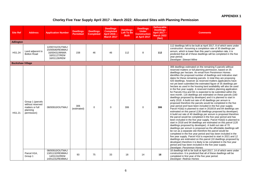## **APPENDIX 1**

## **Chorley Five Year Supply April 2017 – March 2022: Allocated Sites with Planning Permission**

| <b>Site Ref</b>         | <b>Address</b>                                                                     | <b>Application Number</b>                                                           | <b>Dwellings</b><br><b>Permitted</b> | <b>Dwellings</b><br><b>Completed</b> | <b>Dwellings</b><br><b>Completed</b><br>April 2016 -<br><b>March 2017</b> | <b>Dwellings</b><br>Left To Be<br><b>Built</b> | <b>Dwellings</b><br><b>Under</b><br><b>Construction</b><br>at April 2017 | <b>Deliverable</b><br><b>Dwellings</b><br>April 2017 -<br><b>March 2022</b><br>(Net) | <b>Comments</b>                                                                                                                                                                                                                                                                                                                                                                                                                                                                                                                                                                                                                                                                                                                                                                                                                                                                                                                                                                                                                                                                                                                                                                                                                                                                                                                                                                                                                                                                                                                                                                                                                                                                                                                                                                                                                                                                                                                                                                               |
|-------------------------|------------------------------------------------------------------------------------|-------------------------------------------------------------------------------------|--------------------------------------|--------------------------------------|---------------------------------------------------------------------------|------------------------------------------------|--------------------------------------------------------------------------|--------------------------------------------------------------------------------------|-----------------------------------------------------------------------------------------------------------------------------------------------------------------------------------------------------------------------------------------------------------------------------------------------------------------------------------------------------------------------------------------------------------------------------------------------------------------------------------------------------------------------------------------------------------------------------------------------------------------------------------------------------------------------------------------------------------------------------------------------------------------------------------------------------------------------------------------------------------------------------------------------------------------------------------------------------------------------------------------------------------------------------------------------------------------------------------------------------------------------------------------------------------------------------------------------------------------------------------------------------------------------------------------------------------------------------------------------------------------------------------------------------------------------------------------------------------------------------------------------------------------------------------------------------------------------------------------------------------------------------------------------------------------------------------------------------------------------------------------------------------------------------------------------------------------------------------------------------------------------------------------------------------------------------------------------------------------------------------------------|
| <b>Adlington</b>        |                                                                                    |                                                                                     |                                      |                                      |                                                                           |                                                |                                                                          |                                                                                      |                                                                                                                                                                                                                                                                                                                                                                                                                                                                                                                                                                                                                                                                                                                                                                                                                                                                                                                                                                                                                                                                                                                                                                                                                                                                                                                                                                                                                                                                                                                                                                                                                                                                                                                                                                                                                                                                                                                                                                                               |
| HS1.24                  | Land adjacent to<br><b>Bolton Road</b>                                             | 12/00741/OUTMAJ<br>15/00506/REMMAJ<br>16/00431/MNMA<br>16/01127/REM<br>16/01126/REM | 158                                  | 46                                   | 46                                                                        | 112                                            | 8                                                                        | 112                                                                                  | 112 dwellings left to be built at April 2017, 8 of which were under<br>construction. Assuming a completion rate of 30 dwellings per<br>annum, which is lower than this year's completion rate, it is<br>predicted that all of these dwellings will be completed in the five<br>year period.<br>Developer: Stewart Milne                                                                                                                                                                                                                                                                                                                                                                                                                                                                                                                                                                                                                                                                                                                                                                                                                                                                                                                                                                                                                                                                                                                                                                                                                                                                                                                                                                                                                                                                                                                                                                                                                                                                       |
| <b>Buckshaw Village</b> |                                                                                    |                                                                                     |                                      |                                      |                                                                           |                                                |                                                                          |                                                                                      |                                                                                                                                                                                                                                                                                                                                                                                                                                                                                                                                                                                                                                                                                                                                                                                                                                                                                                                                                                                                                                                                                                                                                                                                                                                                                                                                                                                                                                                                                                                                                                                                                                                                                                                                                                                                                                                                                                                                                                                               |
| HS1.21                  | Group 1 (parcels<br>without reserved<br>matters or full<br>planning<br>permission) | 08/00910/OUTMAJ                                                                     | 306<br>(estimated)                   | $\mathbf 0$                          | $\mathbf 0$                                                               | 306                                            | $\Omega$                                                                 | 306                                                                                  | 306 dwellings estimated on the remaining 5 parcels without<br>reserved matters or full planning permission, based on 35<br>dwellings per hectare. An email from Persimmon Homes<br>identifies the proposed number of dwellings and indicative start<br>dates for these remaining parcels. In total they are proposing<br>420 dwellings, however as reserved matters applications have<br>not yet been submitted the estimated figure of 35 dwellings per<br>hectare as used in the housing land availability will also be used<br>in the five year supply. A reserved matters planning application<br>for Parcels H1a and M1 is expected to be submitted within the<br>next month. 116 dwellings are estimated on these parcels (160<br>dwellings proposed by developer) and it is planned to start in<br>early 2018. A build out rate of 40 dwellings per annum is<br>proposed therefore the parcels would be completed in the five<br>year period and have been included in the five year supply.<br>Parcel H1b(i) is planned to start in 2018/19 and 84 dwellings are<br>estimated on this parcel (130 dwellings proposed by developer).<br>A build out rate of 40 dwellings per annum is proposed therefore<br>the parcel would be completed in the five year period and has<br>been included in the five year supply. Parcel H1b(ii) is planned to<br>start in 2018 and 94 dwellings are estimated on this parcel (120<br>dwellings proposed by developer). A build out rate of 70<br>dwellings per annum is proposed as the affordable dwellings will<br>be run as a separate site therefore the parcel would be<br>completed in the five year period and has been included in the<br>five year supply. Parcel H1d is expected to start in 2021 and 12<br>dwellings are estimated on this parcel (10 dwellings proposed by<br>developer) therefore it is likely to be completed in the five year<br>period and has been included in the five year supply.<br>Developer: Persimmon Homes |
|                         | Parcel H1A,<br>Group 1                                                             | 08/00910/OUTMAJ<br>13/01132/REMMAJ<br>14/01152/REM<br>14/01231/REMMAJ               | 93                                   | 75                                   | 33                                                                        | 18                                             | 14                                                                       | 18                                                                                   | 18 dwellings left to be built at April 2017, 14 of which were under<br>construction. It is predicted that all of these dwellings will be<br>completed in first year of the five year period.<br>Developer: Redrow Homes                                                                                                                                                                                                                                                                                                                                                                                                                                                                                                                                                                                                                                                                                                                                                                                                                                                                                                                                                                                                                                                                                                                                                                                                                                                                                                                                                                                                                                                                                                                                                                                                                                                                                                                                                                       |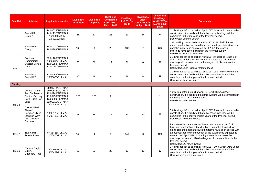| <b>Site Ref</b> | <b>Address</b>                                                                            | <b>Application Number</b>                                                                                                         | <b>Dwellings</b><br><b>Permitted</b> | <b>Dwellings</b><br><b>Completed</b> | <b>Dwellings</b><br><b>Completed</b><br>April 2016-<br><b>March 2017</b> | <b>Dwellings</b><br><b>Left To Be</b><br><b>Built</b> | <b>Dwellings</b><br><b>Under</b><br><b>Construction</b><br>at April 2017 | <b>Deliverable</b><br><b>Dwellings</b><br>April 2017 -<br><b>March 2022</b><br>(Net) | <b>Comments</b>                                                                                                                                                                                                                                                                                                                                                                                                                                   |
|-----------------|-------------------------------------------------------------------------------------------|-----------------------------------------------------------------------------------------------------------------------------------|--------------------------------------|--------------------------------------|--------------------------------------------------------------------------|-------------------------------------------------------|--------------------------------------------------------------------------|--------------------------------------------------------------------------------------|---------------------------------------------------------------------------------------------------------------------------------------------------------------------------------------------------------------------------------------------------------------------------------------------------------------------------------------------------------------------------------------------------------------------------------------------------|
|                 | Parcel H2.<br>Group 1                                                                     | 14/00635/REMMAJ<br>14/01232/REMMAJ<br>16/00046/REM<br>16/00110/REM                                                                | 58                                   | 37                                   | 26                                                                       | 21                                                    | 14                                                                       | 21                                                                                   | 21 dwellings left to be built at April 2017, 14 of which were under<br>construction. It is predicted that all of these dwellings will be<br>completed in the first year of the five year period.<br>Developer: Charles Church                                                                                                                                                                                                                     |
|                 | Parcel H1c,<br>Group 1                                                                    | 15/01037/REMMAJ<br>16/00999/REMMAJ                                                                                                | 166                                  | 28                                   | 28                                                                       | 138                                                   | 39                                                                       | 138                                                                                  | 138 dwellings left to be built at April 2017, 39 of which were<br>under construction. An email from the developer states that this<br>parcel is likely to be completed by 2020/21 therefore all<br>dwellings have been included in the five year supply.<br>Developer: Persimmon Homes                                                                                                                                                            |
| <b>HS1.22</b>   | Southern<br>Commercial<br><b>Quarter Central</b><br>Core                                  | 08/01100/REMMAJ<br>10/00334/FULMAJ<br>10/01052/REMMAJ<br>12/01001/REMMAJ                                                          | 83                                   | 52                                   | 17                                                                       | 31                                                    | $\Omega$                                                                 | 31                                                                                   | 31 dwellings left to be built at April 2017 (West Block), none of<br>which were under construction. It is predicted that all of these<br>dwellings will be completed in the early to middle years of the<br>five year period.<br>Developer: Eden Park Development Ltd                                                                                                                                                                             |
|                 | Parcel N &<br>Parcel WF                                                                   | 12/00463/REMMAJ<br>15/00675/FULMAJ                                                                                                | 94                                   | 73                                   | $\mathbf 0$                                                              | 21                                                    | 21                                                                       | 21                                                                                   | 21 dwellings left to be built at April 2017, all of which were under<br>construction. It is predicted that all of these dwellings will be<br>completed in the first year of the five year period.<br>Developer: Redrow Homes                                                                                                                                                                                                                      |
| <b>Chorley</b>  |                                                                                           |                                                                                                                                   |                                      |                                      |                                                                          |                                                       |                                                                          |                                                                                      |                                                                                                                                                                                                                                                                                                                                                                                                                                                   |
| <b>HS1.2</b>    | Vertex Training<br>And Conference<br>Centre (Duxbury<br>Park), Little Carr<br>Lane        | 08/01044/OUTMAJ<br>10/00888/OUTMAJ<br>10/00946/REMMAJ<br>11/00453/REMMAJ<br>12/00269/REMMAJ<br>12/00510/OUTMAJ<br>12/00842/FULMAJ | 126                                  | 125                                  | 2                                                                        | $\mathbf{1}$                                          | $\mathbf{1}$                                                             | $\mathbf{1}$                                                                         | 1 dwelling left to be built at April 2017, which was under<br>construction. It is predicted that this dwelling will be completed in<br>the first year of the five year period.<br>Developer: Arley Homes                                                                                                                                                                                                                                          |
|                 | Duxbury Park<br>Phase 2<br><b>Between Myles</b><br>Standish Way<br>And Duxbury<br>Gardens | 13/00178/FULMAJ<br>15/00482/FULMAJ                                                                                                | 68                                   | 15                                   | 15                                                                       | 53                                                    | 23                                                                       | 53                                                                                   | 53 dwellings left to be built at April 2017, 23 of which were under<br>construction. It is predicted that all of these dwellings will be<br>completed in the early to middle years of the five year period.<br>Developer: Rowland Homes                                                                                                                                                                                                           |
| <b>HS1.7</b>    | Talbot Mill.<br>Froom Street                                                              | 07/01426/FULMAJ<br>11/00875/FULMAJ                                                                                                | 149                                  | $\Omega$                             | $\Omega$                                                                 | 149                                                   | $\Omega$                                                                 | 120                                                                                  | Land remediation and contamination works started in 2015<br>however construction of the dwellings has not yet started. An<br>email from the applicant states that terms have been agreed with<br>a housebuilder and construction of the dwellings is expected to<br>start around April 2018. Assuming a completion rate of 30<br>dwellings per annum, 120 dwellings would be completed in the<br>five year period.<br>Developer: St Francis Group |
| <b>HS1.9</b>    | Chorley Rugby<br>Union.<br>Chancery Road                                                  | 13/00082/FULMAJ<br>14/00429/FULMAJ                                                                                                | 50                                   | 33                                   | 28                                                                       | 17                                                    | 10                                                                       | 17                                                                                   | 17 dwellings left to be built at April 2017, 10 of which were under<br>construction. It is predicted that all of these dwellings will be<br>completed in the first year of the five year period.<br>Developer: Persimmon Homes                                                                                                                                                                                                                    |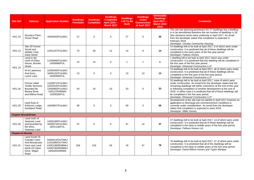| <b>Site Ref</b>         | <b>Address</b>                                                                                            | <b>Application Number</b>                                                                 | <b>Dwellings</b><br><b>Permitted</b> | <b>Dwellings</b><br><b>Completed</b> | <b>Dwellings</b><br><b>Completed</b><br>April 2016-<br><b>March 2017</b> | <b>Dwellings</b><br>Left To Be<br><b>Built</b> | <b>Dwellings</b><br><b>Under</b><br><b>Construction</b><br>at April 2017 | <b>Deliverable</b><br><b>Dwellings</b><br><b>April 2017 -</b><br><b>March 2022</b><br>(Net) | <b>Comments</b>                                                                                                                                                                                                                                                                                                                                                                                                                 |
|-------------------------|-----------------------------------------------------------------------------------------------------------|-------------------------------------------------------------------------------------------|--------------------------------------|--------------------------------------|--------------------------------------------------------------------------|------------------------------------------------|--------------------------------------------------------------------------|---------------------------------------------------------------------------------------------|---------------------------------------------------------------------------------------------------------------------------------------------------------------------------------------------------------------------------------------------------------------------------------------------------------------------------------------------------------------------------------------------------------------------------------|
| HS1.10                  | Grundy's Farm,<br><b>Clover Road</b>                                                                      | 16/00303/FULMAJ                                                                           | 27                                   | $\Omega$                             | $\mathbf 0$                                                              | 27                                             | $\Omega$                                                                 | 26                                                                                          | The site has planning permission for 27 dwellings but a dwelling<br>is to be demolished therefore the net number of dwellings is 26.<br>Site clearance works were underway in April 2017. An email<br>from the developer states that completion is expected in<br>February 2018.<br>Developer: Chorley Community Housing                                                                                                        |
| HS1.13                  | Site Of Former<br>Social and<br>Athletic Club,<br><b>Duke Street</b>                                      | 12/01247/FULMAJ                                                                           | 70                                   | 56                                   | 12                                                                       | 14                                             | 8                                                                        | 14                                                                                          | 14 dwellings left to be built at April 2017, 8 of which were under<br>construction. It is predicted that all of these dwellings will be<br>completed in the early years of the five year period.<br>Developer: Fellows Homes                                                                                                                                                                                                    |
| HS1.14                  | Land to the<br>north of Eldon<br>House, Brooke<br><b>Street</b>                                           | 11/00566/FULMAJ<br>14/00698/FUL                                                           | 15                                   | 14                                   | $\mathbf 0$                                                              | $\overline{1}$                                 | -1                                                                       | $\mathbf{1}$                                                                                | 1 dwelling left to be built at April 2017 which was under<br>construction. It is predicted that this dwelling will be completed in<br>the first year of the five year period.<br>Developer: Elmwood Construction LLP                                                                                                                                                                                                            |
|                         | W M Lawrence<br>And Sons.<br>Lyons Lane                                                                   | 12/00045/FULMAJ<br>16/00132/FULMAJ<br>16/00390/FUL                                        | 13                                   | $\Omega$                             | $\mathbf 0$                                                              | 13                                             | 13                                                                       | 13                                                                                          | 13 dwellings left to be built at April 2017, all of which were under<br>construction. It is predicted that all of these dwellings will be<br>completed in the first year of the five year period.<br>Developer: Elmwood Construction LLP                                                                                                                                                                                        |
| HS1.16                  | Former Initial<br>Textile Services.<br>Bounded By<br><b>Botany Brow</b><br>and Willow Road                | 11/00871/FULMAJ<br>12/01015/FULMAJ<br>13/00993/FULMAJ<br>14/01225/MNMA<br>15/00028/FUL    | 43                                   | 10                                   | 10                                                                       | 33                                             | $\mathbf 0$                                                              | 33                                                                                          | 33 dwellings left to be built at April 2017, none of which were<br>under construction. An email from the developer states that the<br>remaining dwellings will either commence at the end of this year<br>or following completion of another development at the end of<br>2018. In either case it is predicted that all of these dwellings will<br>be completed in the five year period.<br>Developer: Elmwood Construction LLP |
| <b>HS1.20</b>           | Land East of<br>Ackhurst Lodge,<br>Southport Road                                                         | 16/00857/FULMAJ                                                                           | 59                                   | $\mathbf 0$                          | 0                                                                        | 59                                             | $\Omega$                                                                 | 59                                                                                          | Development of the site had not started in April 2017 however an<br>application to discharge pre-commencement conditions is<br>currently under consideration. An email from the developer<br>states that completion is expected in early 2019.<br>Developer: Miller Homes                                                                                                                                                       |
|                         | <b>Clayton Brook/Green</b>                                                                                |                                                                                           |                                      |                                      |                                                                          |                                                |                                                                          |                                                                                             |                                                                                                                                                                                                                                                                                                                                                                                                                                 |
| HS1.30                  | Land north of<br>Swansey Lane<br>and bounded by<br>the Elms.<br>Swansey Lane                              | 14/00199/FULMAJ<br>16/00374/FULMAJ<br>16/01136/FUL                                        | 37                                   | $\mathbf 0$                          | $\mathbf 0$                                                              | 37                                             | 14                                                                       | 37                                                                                          | 37 dwellings left to be built at April 2017, 14 of which were under<br>construction. It is predicted that all of these dwellings will be<br>completed in the early to middle years of the five year period.<br>Developer: Fellows Homes Ltd                                                                                                                                                                                     |
| <b>Clayton-le-Woods</b> |                                                                                                           |                                                                                           |                                      |                                      |                                                                          |                                                |                                                                          |                                                                                             |                                                                                                                                                                                                                                                                                                                                                                                                                                 |
| <b>HS1.31</b>           | Land South Of<br>Cuerden Farm<br>And Woodcocks<br>Farm and Land<br>North Of Caton<br>Drive, Wigan<br>Road | 10/00414/OUTMAJ<br>11/01085/OUTMAJ<br>13/00138/REMMAJ<br>14/00730/REMMAJ<br>16/00202/MNMA | 294                                  | 216                                  | 59                                                                       | 78                                             | 47                                                                       | 78                                                                                          | 78 dwellings left to be built at April 2017, 47 of which were under<br>construction. It is predicted that all of the dwellings will be<br>completed in the early to middle years of the five year period.<br>Developer: David Wilson Homes and Taylor Wimpey                                                                                                                                                                    |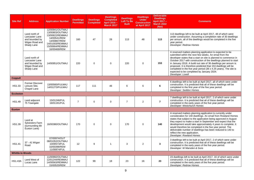| <b>Site Ref</b>         | <b>Address</b>                                                                    | <b>Application Number</b>                                                                                                                   | <b>Dwellings</b><br><b>Permitted</b> | <b>Dwellings</b><br><b>Completed</b> | <b>Dwellings</b><br><b>Completed</b><br>April 2016-<br><b>March 2017</b> | <b>Dwellings</b><br><b>Left To Be</b><br><b>Built</b> | <b>Dwellings</b><br><b>Under</b><br><b>Construction</b><br>at April 2017 | <b>Deliverable</b><br><b>Dwellings</b><br>April 2017 -<br><b>March 2022</b><br>(Net) | <b>Comments</b>                                                                                                                                                                                                                                                                                                                                                                                                                                                                                                                      |
|-------------------------|-----------------------------------------------------------------------------------|---------------------------------------------------------------------------------------------------------------------------------------------|--------------------------------------|--------------------------------------|--------------------------------------------------------------------------|-------------------------------------------------------|--------------------------------------------------------------------------|--------------------------------------------------------------------------------------|--------------------------------------------------------------------------------------------------------------------------------------------------------------------------------------------------------------------------------------------------------------------------------------------------------------------------------------------------------------------------------------------------------------------------------------------------------------------------------------------------------------------------------------|
|                         | Land north of<br>Lancaster Lane<br>and bounded by<br>Wigan Road and<br>Shady Lane | 12/00941/OUTMAJ<br>13/00803/OUTMAJ<br>13/00822/REMMAJ<br>14/00541/REM<br>14/00867/REM<br>14/01003/REMMAJ<br>15/00664/REMMAJ<br>16/00469/REM | 160                                  | 47                                   | 28                                                                       | 113                                                   | 48                                                                       | 113                                                                                  | 113 dwellings left to be built at April 2017, 48 of which were<br>under construction. Assuming a completion rate of 30 dwellings<br>per annum, all of the dwellings would be completed in the five<br>vear period.<br>Developer: Redrow Homes                                                                                                                                                                                                                                                                                        |
|                         | Land north of<br>Lancaster Lane<br>and bounded by<br>Wigan Road and<br>Shady Lane | 14/00951/OUTMAJ                                                                                                                             | 220                                  | $\Omega$                             | $\Omega$                                                                 | 220                                                   | $\Omega$                                                                 | 153                                                                                  | A reserved matters planning application is expected to be<br>submitted within the next few weeks. An email from the<br>developer states that a start on site is planned to commence in<br>October 2017 with construction of the dwellings planned to start<br>in January 2018. A build out rate of 36 dwellings per annum is<br>proposed. It is therefore predicted that 153 dwellings will be<br>completed in the five year period (36 x 4.25 years). The site is<br>expected to be completed by January 2024.<br>Developer: Lovell |
| <b>Coppull</b>          |                                                                                   |                                                                                                                                             |                                      |                                      |                                                                          |                                                       |                                                                          |                                                                                      |                                                                                                                                                                                                                                                                                                                                                                                                                                                                                                                                      |
| HS1.33                  | Former Discover<br>Leisure Site.<br>Chapel Lane                                   | 13/00560/FULMAJ<br>14/01273/FULMAJ                                                                                                          | 117                                  | 111                                  | 46                                                                       | 6                                                     | 6                                                                        | $\bf 6$                                                                              | 6 dwellings left to be built at April 2017, all of which were under<br>construction. It is predicted that all of these dwellings will be<br>completed in the first year of the five year period.<br>Developer: Seddon Homes                                                                                                                                                                                                                                                                                                          |
| <b>Eccleston</b>        |                                                                                   |                                                                                                                                             |                                      |                                      |                                                                          |                                                       |                                                                          |                                                                                      |                                                                                                                                                                                                                                                                                                                                                                                                                                                                                                                                      |
| <b>HS1.49</b>           | Land adjacent<br>75 Towngate                                                      | 15/01246/FUL<br>16/01191/FUL                                                                                                                | $\overline{7}$                       | $\Omega$                             | $\Omega$                                                                 | $\overline{7}$                                        | $\overline{2}$                                                           | $\overline{7}$                                                                       | 7 dwellings left to be built at April 2017, 2 of which were under<br>construction. It is predicted that all of these dwellings will be<br>completed in the early years of the five year period.<br>Developer: Westchurch Homes                                                                                                                                                                                                                                                                                                       |
| <b>Euxton</b>           |                                                                                   |                                                                                                                                             |                                      |                                      |                                                                          |                                                       |                                                                          |                                                                                      |                                                                                                                                                                                                                                                                                                                                                                                                                                                                                                                                      |
| HS1.39                  | Land at<br><b>Sylvesters Farm</b><br>(surrounding 89<br>Euxton Lane)              | 16/00380/OUTMAJ                                                                                                                             | 170                                  | $\Omega$                             | $\Omega$                                                                 | 170                                                   | $\Omega$                                                                 | 140                                                                                  | A reserved matters planning application is currently under<br>consideration for 140 dwellings. An email from Rowland Homes<br>states that subject to the application being approved in August<br>they expect to make a start in September and expect that the<br>development would take approximately 4 years to complete. It<br>would therefore be completed in the five year period. The<br>deliverable number of dwellings has been reduced to 140 to<br>reflect the new application.<br>Developer: Rowland Homes                 |
| <b>HS1.41</b>           | 37 - 41 Wigan<br>Road                                                             | 07/00974/OUT<br>08/01052/OUTMAJ<br>10/00573/FUL<br>10/00398/REM<br>11/00874/FUL                                                             | 12                                   | 9                                    | $\mathbf{1}$                                                             | 3                                                     | 2                                                                        | $\mathbf{3}$                                                                         | 3 dwellings left to be built at April 2017, 2 of which were under<br>construction. It is predicted that all of these dwellings will be<br>completed in the early years of the five year period.<br>Developer: W Marsden & Sons                                                                                                                                                                                                                                                                                                       |
| <b>Whittle-le-Woods</b> |                                                                                   |                                                                                                                                             |                                      |                                      |                                                                          |                                                       |                                                                          |                                                                                      |                                                                                                                                                                                                                                                                                                                                                                                                                                                                                                                                      |
| <b>HS1.43A</b>          | Land West of<br>Lucas Lane                                                        | 11/00992/OUTMAJ<br>12/01244/REMMAJ<br>14/00563/REMMAJ<br>15/00520/REM                                                                       | 122                                  | 99                                   | 18                                                                       | 23                                                    | 16                                                                       | 23                                                                                   | 23 dwellings left to be built at April 2017, 16 of which were under<br>construction. It is predicted that all of these dwellings will be<br>completed in the early years of the five year period.<br>Developer: Redrow Homes                                                                                                                                                                                                                                                                                                         |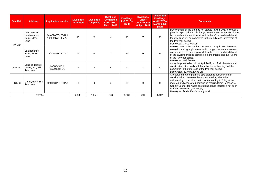| <b>Site Ref</b> | <b>Address</b>                                     | <b>Application Number</b>          | <b>Dwellings</b><br><b>Permitted</b> | <b>Dwellings</b><br><b>Completed</b> | <b>Dwellings</b><br><b>Completed</b><br>April 2016-<br><b>March 2017</b> | <b>Dwellings</b><br>Left To Be<br><b>Built</b> | <b>Dwellings</b><br><b>Under</b><br><b>Construction</b><br>at April 2017 | <b>Deliverable</b><br><b>Dwellings</b><br>April 2017 -<br><b>March 2022</b><br>(Net) | <b>Comments</b>                                                                                                                                                                                                                                                                                                                                                                                           |
|-----------------|----------------------------------------------------|------------------------------------|--------------------------------------|--------------------------------------|--------------------------------------------------------------------------|------------------------------------------------|--------------------------------------------------------------------------|--------------------------------------------------------------------------------------|-----------------------------------------------------------------------------------------------------------------------------------------------------------------------------------------------------------------------------------------------------------------------------------------------------------------------------------------------------------------------------------------------------------|
| <b>HS1.43C</b>  | Land west of<br>Leatherlands<br>Farm, Moss<br>Lane | 14/00900/OUTMAJ<br>16/00247/FULMAJ | 34                                   | $\Omega$                             | 0                                                                        | 34                                             | $\Omega$                                                                 | 34                                                                                   | Development of the site had not started in April 2017 however a<br>planning application to discharge pre-commencement conditions<br>is currently under consideration. It is therefore predicted that all<br>the dwellings will be completed in the middle and later years of<br>the five year period.<br>Developer: Morris Homes                                                                          |
|                 | Leatherlands<br>Farm, Moss<br>Lane                 | 16/00509/FULMAJ                    | 45                                   | $\Omega$                             | 0                                                                        | 45                                             | O                                                                        | 45                                                                                   | Development of the site had not started in April 2017 however<br>several planning applications to discharge pre-commencement<br>conditions have been approved. It is therefore predicted that all<br>of the dwellings will be completed in the middle and later years<br>of the five year period.<br>Developer: Wainhomes                                                                                 |
| HS1.44          | Land on Bank of<br>Quarry Hill, Hill<br>Top Lane   | 14/00849/FUL<br>16/00138/FUL       | 8                                    |                                      | $\boldsymbol{\Delta}$                                                    | 4                                              |                                                                          | 4                                                                                    | 4 dwellings left to be built at April 2017, all of which were under<br>construction. It is predicted that all of these dwellings will be<br>completed in the first year of the five year period.<br>Developer: Fellows Homes Ltd                                                                                                                                                                          |
| HS1.53          | Little Quarry, Hill<br>Top Lane                    | 12/01134/OUTMAJ                    | 85                                   | $\Omega$                             | $\Omega$                                                                 | 85                                             | 0                                                                        | $\mathbf 0$                                                                          | A reserved matters planning application is currently under<br>consideration. However there is uncertainty about the<br>deliverability of this site due to issues relating to filling works<br>required and associated permission required from Lancashire<br>County Council for waste operations. It has therefor e not been<br>included in the five year supply.<br>Developer: Ruttle Plant Holdings Ltd |
|                 | <b>TOTAL</b>                                       |                                    |                                      | 1,050                                | 373                                                                      | 1,839                                          | 291                                                                      | 1,627                                                                                |                                                                                                                                                                                                                                                                                                                                                                                                           |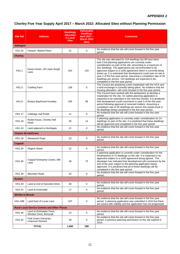## **APPENDIX 2**

# **Chorley Five Year Supply April 2017 – March 2022: Allocated Sites without Planning Permission**

| <b>Site Ref</b>         | <b>Address</b>                                       | <b>Dwellings</b><br><b>Allocated</b><br>in Local<br>Plan | <b>Deliverable</b><br><b>Dwellings</b><br>April 2017 -<br><b>March 2022</b><br>(Net) | <b>Comments</b>                                                                                                                                                                                                                                                                                                                                                                                                                                                                                                                                       |
|-------------------------|------------------------------------------------------|----------------------------------------------------------|--------------------------------------------------------------------------------------|-------------------------------------------------------------------------------------------------------------------------------------------------------------------------------------------------------------------------------------------------------------------------------------------------------------------------------------------------------------------------------------------------------------------------------------------------------------------------------------------------------------------------------------------------------|
| <b>Adlington</b>        |                                                      |                                                          |                                                                                      |                                                                                                                                                                                                                                                                                                                                                                                                                                                                                                                                                       |
| HS1.26                  | Fairport, Market Place                               | 31                                                       | 0                                                                                    | No evidence that the site will come forward in the five year<br>period.                                                                                                                                                                                                                                                                                                                                                                                                                                                                               |
| <b>Chorley</b>          |                                                      |                                                          |                                                                                      |                                                                                                                                                                                                                                                                                                                                                                                                                                                                                                                                                       |
| <b>HS1.1</b>            | Eaves Green, off Lower Burgh<br>Lane                 | 320                                                      | 120                                                                                  | The site was allocated for 419 dwellings but 99 have been<br>built.3 full planning applications are currently under<br>consideration on part of the site, amounting to a maximum of<br>301 dwellings. The applications are recommended to be<br>approved subject to a s106 agreement which is currently being<br>drawn up. It is estimated that development could start on-site in<br>year 2 of the five year period. Assuming a completion rate of 30<br>dwellings per annum, 120 dwellings are expected to be<br>completed in the five year period. |
| <b>HS1.5</b>            | Cowling Farm                                         | 158                                                      | 0                                                                                    | The Council are preparing a joint masterplan with the HCA and<br>a land exchange is currently taking place. No evidence that the<br>housing allocation will come forward in the five year period.                                                                                                                                                                                                                                                                                                                                                     |
| <b>HS1.8</b>            | Botany Bay/Great Knowley                             | 200                                                      | 90                                                                                   | The Council have worked with the landowners to develop a<br>masterplan for the site. An outline planning application is<br>expected to be submitted in the next few months. It is predicted<br>that development could commence in year 3 of the five year<br>period following approval of reserved matters. Assuming a<br>completion rate of 30 dwellings per annum this would result in<br>90 dwellings being completed in the five year period.                                                                                                     |
| HS1.17                  | Cabbage Hall Fields                                  | 11                                                       | 0                                                                                    | No evidence that the site will come forward in the five year<br>period.                                                                                                                                                                                                                                                                                                                                                                                                                                                                               |
| <b>HS1.18</b>           | Rydal House, Chorley Hall<br>Road                    | 26                                                       | 14                                                                                   | A planning application is currently under consideration for 14<br>dwellings on part of the site. It is predicted that these dwellings<br>will be approved and completed in the five year period.                                                                                                                                                                                                                                                                                                                                                      |
| HS1.19                  | Land adjacent to Northgate                           | 21                                                       | $\mathbf 0$                                                                          | No evidence that the site will come forward in the five year<br>period.                                                                                                                                                                                                                                                                                                                                                                                                                                                                               |
|                         | <b>Clayton Brook/Green</b>                           |                                                          |                                                                                      |                                                                                                                                                                                                                                                                                                                                                                                                                                                                                                                                                       |
| HS1.29                  | Westwood Road                                        | 23                                                       | 0                                                                                    | No evidence that the site will come forward in the five year<br>period.                                                                                                                                                                                                                                                                                                                                                                                                                                                                               |
| <b>Coppull</b>          |                                                      |                                                          |                                                                                      |                                                                                                                                                                                                                                                                                                                                                                                                                                                                                                                                                       |
| HS1.34                  | <b>Regent Street</b>                                 | 22                                                       | 0                                                                                    | No evidence that the site will come forward in the five year<br>period.                                                                                                                                                                                                                                                                                                                                                                                                                                                                               |
| HS1.36                  | Coppull Enterprise Centre, Mill<br>Lane              | 49                                                       | 75                                                                                   | A planning application is currently under consideration for the<br>development of 75 dwellings on the site. It is expected to be<br>approved subject to a s106 agreement being agreed. The<br>developer has indicated that development will commence by the<br>end of the year subject to the planning application being<br>approved. It is predicted that all of these dwellings will be<br>completed in the five year period.                                                                                                                       |
| HS1.38                  | <b>Mountain Road</b>                                 | 22                                                       | 0                                                                                    | No evidence that the site will come forward in the five year<br>period.                                                                                                                                                                                                                                                                                                                                                                                                                                                                               |
| <b>Euxton</b>           |                                                      |                                                          |                                                                                      |                                                                                                                                                                                                                                                                                                                                                                                                                                                                                                                                                       |
| HS1.40                  | Land at end of Dunrobin Drive                        | 36                                                       | $\mathbf 0$                                                                          | No evidence that the site will come forward in the five year<br>period.                                                                                                                                                                                                                                                                                                                                                                                                                                                                               |
| HS1.42                  | Land at Greenside                                    | 17                                                       | 0                                                                                    | No evidence that the site will come forward in the five year<br>period.                                                                                                                                                                                                                                                                                                                                                                                                                                                                               |
| <b>Whittle-le-Woods</b> |                                                      |                                                          |                                                                                      |                                                                                                                                                                                                                                                                                                                                                                                                                                                                                                                                                       |
| <b>HS1.43B</b>          | Land East of Lucas Lane                              | 107                                                      | 0                                                                                    | No evidence that the site will come forward in the five year<br>period. A planning application was submitted in 2013 but there<br>are issues with viability and the application has not progressed.                                                                                                                                                                                                                                                                                                                                                   |
|                         | <b>Rural Local Service Centres and Other Places</b>  |                                                          |                                                                                      |                                                                                                                                                                                                                                                                                                                                                                                                                                                                                                                                                       |
| HS1.46                  | Land at Drinkwater Farm,<br>Windsor Drive, Brinscall | 10                                                       | $\pmb{0}$                                                                            | No evidence that the site will come forward in the five year<br>period.                                                                                                                                                                                                                                                                                                                                                                                                                                                                               |
| HS1.52                  | Pole Green Nurseries,<br>Charnock Richard            | 29                                                       | 0                                                                                    | No evidence that the site will come forward in the five year<br>period. A previous planning permission on the site expired in<br>2014.                                                                                                                                                                                                                                                                                                                                                                                                                |
|                         | <b>TOTAL</b>                                         | 1,082                                                    | 299                                                                                  |                                                                                                                                                                                                                                                                                                                                                                                                                                                                                                                                                       |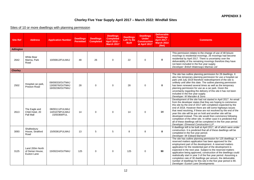## **Chorley Five Year Supply April 2017 – March 2022: Windfall Sites**

## Sites of 10 or more dwellings with planning permission

| <b>Site Ref</b>  | <b>Address</b>                                     | <b>Application Number</b>                             | <b>Dwellings</b><br><b>Permitted</b> | <b>Dwellings</b><br><b>Completed</b> | <b>Dwellings</b><br><b>Completed</b><br>April 2016 -<br><b>March 2017</b> | <b>Dwellings</b><br>Left To Be<br><b>Built</b> | <b>Dwellings</b><br><b>Under</b><br><b>Construction</b><br>at April 2017 | <b>Deliverable</b><br><b>Dwellings</b><br>April 2017 -<br><b>March 2022</b><br>(Net) | <b>Comments</b>                                                                                                                                                                                                                                                                                                                                                                                                                                                                                                                                                                                                                              |
|------------------|----------------------------------------------------|-------------------------------------------------------|--------------------------------------|--------------------------------------|---------------------------------------------------------------------------|------------------------------------------------|--------------------------------------------------------------------------|--------------------------------------------------------------------------------------|----------------------------------------------------------------------------------------------------------------------------------------------------------------------------------------------------------------------------------------------------------------------------------------------------------------------------------------------------------------------------------------------------------------------------------------------------------------------------------------------------------------------------------------------------------------------------------------------------------------------------------------------|
| <b>Adlington</b> |                                                    |                                                       |                                      |                                      |                                                                           |                                                |                                                                          |                                                                                      |                                                                                                                                                                                                                                                                                                                                                                                                                                                                                                                                                                                                                                              |
| 2642             | White Bear<br>Marina, Park<br>Road                 | 10/00812/FULMAJ                                       | 48                                   | 26                                   | $\mathbf 0$                                                               | 22                                             | $\Omega$                                                                 | $\mathbf 0$                                                                          | This permission relates to the change of use of 48 leisure<br>moorings to residential moorings. 26 moorings had become<br>residential by April 2017. There is uncertainty over the<br>deliverability of the remaining moorings therefore they have<br>not been included in the five year supply.<br>Developer: British Waterways Marinas Ltd                                                                                                                                                                                                                                                                                                 |
| <b>Chorley</b>   |                                                    |                                                       |                                      |                                      |                                                                           |                                                |                                                                          |                                                                                      |                                                                                                                                                                                                                                                                                                                                                                                                                                                                                                                                                                                                                                              |
| 2502             | Hospital car park,<br>Preston Road                 | 09/00033/OUTMAJ<br>13/00076/OUTMAJ<br>16/00236/OUTMAJ | 28                                   | $\mathbf 0$                          | $\mathbf 0$                                                               | 28                                             | $\mathbf 0$                                                              | $\mathbf 0$                                                                          | The site has outline planning permission for 28 dwellings. It<br>also has temporary planning permission for use a hospital car<br>park until July 2019 therefore redevelopment of the site is<br>unlikely until after this date. The outline planning permission<br>has been renewed several times as well as the temporary<br>planning permission for use as a car park. Given the<br>uncertainty regarding the delivery of this site it has not been<br>included in the five year supply.<br>Developer: W Marsden & Sons                                                                                                                   |
| 2613             | The Eagle and<br>Child Hotel, 20<br>Pall Mall      | 08/00111/FULMAJ<br>14/01079/FULMAJ<br>15/00369/FUL    | 14                                   | $\Omega$                             | $\mathbf 0$                                                               | 14                                             | $\mathbf 0$                                                              | 14                                                                                   | Development of the site had not started in April 2017. An email<br>from the developer states that they are hoping to commence<br>this site by the end of 2017 with completion expected by the<br>end of 2018. However there are still some highways issues<br>that need resolving, if these are not resolved by the end of the<br>year this site will be put on hold and another site will be<br>developed instead. This site would then commence following<br>completion of the other site. In either case it is predicted that<br>all of these dwellings will be completed in the five year period.<br>Developer: Elmwood Construction LLP |
| 3093             | Shaftesbury<br>House, Stratford<br>Road            | 15/00361/FULMAJ                                       | 13                                   | 5                                    | 5                                                                         | 8                                              | 8                                                                        | 8                                                                                    | 8 dwellings left to be built at April 2017, all of which were under<br>construction. It is predicted that all of these dwellings will be<br>completed in the five year period.<br>Developer: Mr Edward Barnard                                                                                                                                                                                                                                                                                                                                                                                                                               |
| 3125             | Land 200m North<br>of Derian House,<br>Euxton Lane | 15/00224/OUTMAJ                                       | 125                                  | $\Omega$                             | $\mathbf 0$                                                               | 125                                            | $\Omega$                                                                 | 90                                                                                   | The site has outline planning permission for 125 dwellings. A<br>reserved matters application has been approved for the<br>employment part of the development. A reserved matters<br>application for the residential part of the development is<br>expected in the next year. Subject to the reserved matters<br>application being approved, construction of the dwellings could<br>realistically start in year 3 of the five year period. Assuming a<br>completion rate of 30 dwellings per annum, the deliverable<br>number of dwellings for this site in the five year period is 90.<br>Developer: Euxton Lane Developments               |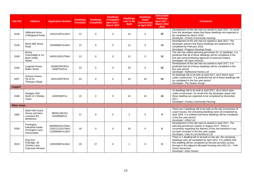| <b>Site Ref</b>    | <b>Address</b>                                                                  | <b>Application Number</b>                             | <b>Dwellings</b><br><b>Permitted</b> | <b>Dwellings</b><br><b>Completed</b> | <b>Dwellings</b><br><b>Completed</b><br>April 2016-<br><b>March 2017</b> | <b>Dwellings</b><br><b>Left To Be</b><br><b>Built</b> | <b>Dwellings</b><br><b>Under</b><br>Construction<br>at April 2017 | <b>Deliverable</b><br><b>Dwellings</b><br>April 2017 -<br><b>March 2022</b><br>(Net) | <b>Comments</b>                                                                                                                                                                                                                                                                                                   |
|--------------------|---------------------------------------------------------------------------------|-------------------------------------------------------|--------------------------------------|--------------------------------------|--------------------------------------------------------------------------|-------------------------------------------------------|-------------------------------------------------------------------|--------------------------------------------------------------------------------------|-------------------------------------------------------------------------------------------------------------------------------------------------------------------------------------------------------------------------------------------------------------------------------------------------------------------|
| 3138               | Gillibrand Arms,<br>Collingwood Road                                            | 14/01214/FULMAJ                                       | 22                                   | $\mathbf 0$                          | $\mathbf 0$                                                              | 22                                                    | $\Omega$                                                          | 22                                                                                   | Development of the site had not started in April 2017. An email<br>from the developer states that these dwellings are expected to<br>be completed by March 2018.<br>Developer: Chorley Community Housing                                                                                                          |
| 3139               | Brock Mill, Brock<br>Road                                                       | 15/00686/FULMAJ                                       | 12                                   | $\mathbf 0$                          | $\mathbf 0$                                                              | 12                                                    | $\mathbf 0$                                                       | 12                                                                                   | Development of the site had not started in April 2017. The<br>developer advises that these dwellings are expected to be<br>completed by February 2018.<br>Developer: Progress Housing Group                                                                                                                       |
| 3169               | Bonny<br>Greenhalgh & Co.<br><b>Back Ashby</b><br><b>Street</b>                 | 16/00116/OUTMAJ                                       | 12                                   | $\Omega$                             | $\mathbf 0$                                                              | 12                                                    | $\mathbf 0$                                                       | 12                                                                                   | The site has outline planning permission for 12 dwellings. It is<br>predicted that all of these dwellings will be completed in the<br>five year period following approval of reserved matters.<br>Developer: Mr Dean Horricks                                                                                     |
| 3184               | Lingmell House,<br><b>Water Street</b>                                          | 16/00678/P3PAJ<br>16/00754/FUL                        | 33                                   | $\mathbf 0$                          | $\mathbf 0$                                                              | 33                                                    | $\mathbf 0$                                                       | 33                                                                                   | Development of the site had not started in April 2017. It is<br>predicted that all of these dwellings will be completed in the<br>five year period.<br>Developer: Hollinwood Homes Ltd                                                                                                                            |
| 3207               | Sumner House,<br>29-33 St<br>Thomas's Road                                      | 16/01140/P3PAJ                                        | 43                                   | $\mathbf 0$                          | $\mathbf 0$                                                              | 43                                                    | 43                                                                | 43                                                                                   | 43 dwellings left to be built at April 2017, all of which were<br>under construction. It is predicted that all of these dwellings will<br>be completed in the five year period.<br>Developer: The Heaton Group                                                                                                    |
| <b>Coppull</b>     |                                                                                 |                                                       |                                      |                                      |                                                                          |                                                       |                                                                   |                                                                                      |                                                                                                                                                                                                                                                                                                                   |
| 3188               | Garages 30m<br>North of 1 Shelley<br>Close                                      | 16/00336/FUL                                          | 10                                   | $\Omega$                             | $\Omega$                                                                 | 10                                                    | 10                                                                | 10                                                                                   | 10 dwellings left to be built at April 2017, all of which were<br>under construction. An email from the developer states that<br>these dwelling are expected to be completed by December<br>2017.<br>Developer: Chorley Community Housing                                                                         |
| <b>Other Areas</b> |                                                                                 |                                                       |                                      |                                      |                                                                          |                                                       |                                                                   |                                                                                      |                                                                                                                                                                                                                                                                                                                   |
| 1606               | <b>Bank Hall Coach</b><br>House and barn,<br>Liverpool Rd,<br><b>Bretherton</b> | 98/00118/COU<br>02/00589/FUL                          | 11                                   | 9                                    | $\Omega$                                                                 | 2                                                     | $\Omega$                                                          | $\bf{0}$                                                                             | There are 2 dwellings left to be built on the site (conversion of<br>coach house), the remaining dwellings were all completed by<br>April 2004. It is unlikely that these dwellings will be completed<br>in the five year period.<br>Developer: Lilford Ltd                                                       |
| 2559               | Finnington<br>Industrial Estate,<br>Finnington Lane,<br>Feniscowles             | 09/00825/OUTMAJ<br>12/01211/OUTMAJ<br>13/00948/FULMAJ | 18                                   | $\mathbf 0$                          | $\mathbf 0$                                                              | 18                                                    | $\mathbf 0$                                                       | $\mathbf 0$                                                                          | Development of the site had not started in April 2017. The<br>planning permission expires in August 2017. There is<br>uncertainty regarding the delivery of this site therefore it has<br>not been included in the five year supply.<br>Developer: Units to Let (Northern) Ltd                                    |
| 2619               | Dog And<br>Partridge, 30<br>Chorley Lane,<br><b>Charnock Richard</b>            | 10/00359/FULMAJ                                       | 28                                   | 27                                   | $\mathbf 0$                                                              | $\mathbf{1}$                                          | $\Omega$                                                          | $\bf{0}$                                                                             | There is 1 dwelling left to be built on the site, the remaining<br>dwellings were all completed by April 2012. It is unlikely that<br>this dwelling will be completed as the plot provides access<br>through to the adjacent allocated housing site (HS1.52 - Pole<br>Green Nurseries).<br>Developer: Arley Homes |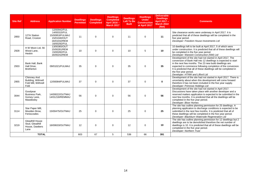| <b>Site Ref</b> | <b>Address</b>                                                   | <b>Application Number</b>                                                                       | <b>Dwellings</b><br><b>Permitted</b> | <b>Dwellings</b><br><b>Completed</b> | <b>Dwellings</b><br><b>Completed</b><br>April 2016-<br><b>March 2017</b> | <b>Dwellings</b><br>Left To Be<br><b>Built</b> | <b>Dwellings</b><br><b>Under</b><br><b>Construction</b><br>at April 2017 | <b>Deliverable</b><br><b>Dwellings</b><br>April 2017 -<br><b>March 2022</b><br>(Net) | <b>Comments</b>                                                                                                                                                                                                                                                                                                                                                                        |
|-----------------|------------------------------------------------------------------|-------------------------------------------------------------------------------------------------|--------------------------------------|--------------------------------------|--------------------------------------------------------------------------|------------------------------------------------|--------------------------------------------------------------------------|--------------------------------------------------------------------------------------|----------------------------------------------------------------------------------------------------------------------------------------------------------------------------------------------------------------------------------------------------------------------------------------------------------------------------------------------------------------------------------------|
| 2850            | 127A Station<br>Road, Croston                                    | 12/00942/FUL<br>14/00315/FUL<br>15/00953/FULMAJ<br>15/01040/OUT<br>16/01032/REM<br>16/00292/FUL | 11                                   | $\mathbf 0$                          | $\mathbf 0$                                                              | 11                                             | $\mathbf 0$                                                              | 11                                                                                   | Site clearance works were underway in April 2017. It is<br>predicted that all of these dwellings will be completed in the<br>five year period.<br>Developer: Freedom House Investments Ltd                                                                                                                                                                                             |
| 2928            | H W Moon Ltd, 56<br>Wood Lane.<br>Heskin                         | 13/00365/OUT<br>15/00281/REM<br>15/00282/FUL<br>16/00242/REM                                    | 10                                   | $\Omega$                             | $\Omega$                                                                 | 10                                             | 5                                                                        | 10                                                                                   | 10 dwellings left to be built at April 2017, 5 of which were<br>under construction. It is predicted that all of these dwellings will<br>be completed in the five year period.<br>Developer: Warwick Construction (NW) Ltd                                                                                                                                                              |
| 2933            | Bank Hall, Bank<br>Hall Drive,<br><b>Bretherton</b>              | 09/01021/FULMAJ                                                                                 | 35                                   | $\mathbf 0$                          | $\mathbf 0$                                                              | 35                                             | $\mathbf 0$                                                              | 35                                                                                   | Development of the site had not started in April 2017. The<br>conversion of Bank Hall into 12 dwellings is expected to start<br>in the next few months. The 23 new build dwellings are<br>expected to commence following completion of the conversion.<br>It is predicted that all of these dwellings will be completed in<br>the five year period.<br>Developer: HTNW and Lilford Ltd |
| 2955            | Chimney And<br>Building, Withnell<br>Fold Mill, Withnell<br>Fold | 12/00084/FULMAJ                                                                                 | 37                                   | $\Omega$                             | $\mathbf 0$                                                              | 37                                             | $\mathbf 0$                                                              | $\mathbf 0$                                                                          | Development of the site had not started in April 2017. There is<br>uncertainty about when this development will come forward<br>therefore it has not been included in the five year supply.<br>Developer: Primrose Holdings Ltd                                                                                                                                                        |
| 3044            | Goodvear<br>Business Park,<br>Gorsey Lane,<br>Mawdesley          | 14/00022/OUTMAJ<br>14/01218/REMMAJ                                                              | 56                                   | $\Omega$                             | $\Omega$                                                                 | 56                                             | $\Omega$                                                                 | 56                                                                                   | Development of the site had not started in April 2017.<br>Discussions have taken place with another developer and a<br>reserved matters application is expected to be submitted in the<br>next few months. It is predicted that all the dwellings will be<br>completed in the five year period.<br>Developer: Bloor Homes                                                              |
| 3114            | Star Paper Mill,<br>Moulden Brow.<br>Feniscowles                 | 15/00475/OUTMAJ                                                                                 | 25                                   | $\mathbf 0$                          | $\mathbf 0$                                                              | 25                                             | $\mathbf 0$                                                              | 25                                                                                   | The site has outline planning permission for 25 dwellings. A<br>planning application to discharge conditions is expected to be<br>submitted in the next few months. It is predicted that all of<br>these dwellings will be completed in the five year period.<br>Developer: Blackburn Waterside Regeneration Ltd                                                                       |
| 3219            | Gleadhill House<br>Stud, Gleadhill<br>House, Dawbers<br>Lane     | 16/00633/OUTMAJ                                                                                 | 12                                   | $\Omega$                             | $\Omega$                                                                 | 12                                             | $\Omega$                                                                 | 10                                                                                   | The site has outline planning permission for 12 dwellings but 2<br>dwellings are to be demolished therefore the net number of<br>dwellings is 10. It is predicted that all of these dwellings will be<br>completed in the five year period.<br>Developer: Northern Trust                                                                                                               |
| <b>TOTAL</b>    |                                                                  | 603                                                                                             | 67                                   | 5                                    | 536                                                                      | 66                                             | 391                                                                      |                                                                                      |                                                                                                                                                                                                                                                                                                                                                                                        |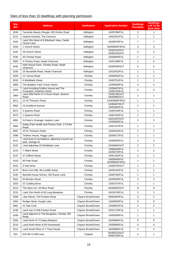# Sites of less than 10 dwellings with planning permission

| <b>Site</b><br><b>Ref</b> | <b>Address</b>                                                     | <b>Settlement</b>   | <b>Application Number</b>      | <b>Dwellings</b><br><b>Permitted</b> | <b>Dwellings</b><br><b>Left To Be</b><br><b>Built (Net)</b> |
|---------------------------|--------------------------------------------------------------------|---------------------|--------------------------------|--------------------------------------|-------------------------------------------------------------|
| 3036                      | Tamarisk Beauty Shoppe, 98 Chorley Road                            | Adlington           | 14/00786/FUL                   | 2                                    | 1                                                           |
| 3112                      | Hudora Kennels, The Common                                         | Adlington           | 14/01051/FUL                   | 1                                    | $\mathbf{1}$                                                |
| 3162                      | Land 20m West of 6 Ellerbeck View, Castle<br>House Lane            | Adlington           | 16/00075/FUL                   | $\overline{7}$                       | $\overline{7}$                                              |
| 3163                      | 1 Church Street                                                    | Adlington           | 16/00090/P3PAJ                 | 3                                    | 3                                                           |
| 3181                      | 59 Church Street                                                   | Adlington           | 15/00215/OUT<br>15/00216/OUT   | 3                                    | 3                                                           |
| 3194                      | 40 Chorley Road                                                    | Adlington           | 16/00848/FUL                   | 1                                    | $\mathbf{1}$                                                |
| 3055                      | 4 Chorley Road, Heath Charnock                                     | Adlington           | 14/01199/FUL                   | 1                                    | 0                                                           |
| 3105                      | Hole House Farm, Chorley Road, Heath<br>Charnock                   | Adlington           | 15/00556/OUT                   | 6                                    | 5                                                           |
| 3165                      | 25 Woodville Road, Heath Charnock                                  | Adlington           | 15/01052/FUL                   | 1                                    | $\mathbf{1}$                                                |
| 2629                      | 21 Yarrow Road                                                     | Chorley             | 10/00655/FUL                   | 1                                    | $\mathbf{1}$                                                |
| 2633                      | 6 Weldbank Street                                                  | Chorley             | 10/00751/FUL                   | 1                                    | $\mathbf{1}$                                                |
| 2804                      | The Builders Yard. Froom Street                                    | Chorley             | 12/00059/FUL                   | $\overline{4}$                       | $\overline{4}$                                              |
| 2826                      | Land Including Grafton House and The<br>Courtyard, Anderton Street | Chorley             | 12/00407/FUL<br>13/00130/FUL   | 5                                    | 3                                                           |
| 2964                      | Land 20M North of 2 Clover Road, Jackson<br>Road                   | Chorley             | 13/00146/OUT<br>16/00980/OUT   | 1                                    | $\mathbf{1}$                                                |
| 3011                      | 22 St Thomas's Road                                                | Chorley             | 14/00389/P3PAJ                 | 1                                    | $\mathbf{1}$                                                |
| 3062                      | 23 Guildford Avenue                                                | Chorley             | 14/00487/OUT<br>16/00300/FUL   | 1                                    | $\mathbf{1}$                                                |
| 3071                      | 3 Queens Road                                                      | Chorley             | 14/00704/FUL                   | 1                                    | $\mathbf{1}$                                                |
| 3072                      | 1 Queens Road                                                      | Chorley             | 14/00705/FUL                   | 1                                    | $\mathbf{1}$                                                |
| 3081                      | St Peter's Vicarage, Harpers Lane                                  | Chorley             | 14/01297/OUT<br>15/00936/FUL   | 5                                    | 5                                                           |
| 3082                      | Astley Park Health and Fitness Club, 1-3 Park<br>Road              | Chorley             | 14/01237/FUL                   | $\mathbf{1}$                         | $\mathbf{1}$                                                |
| 3087                      | 20 St Thomas's Road                                                | Chorley             | 14/00324/FUL                   | 1                                    | $\mathbf{1}$                                                |
| 3098                      | Tinklers House, Hoggs Lane                                         | Chorley             | 15/00571/FUL                   | 1                                    | 1                                                           |
| 3121                      | Land East of roundabout, adjoining Council car<br>park, George St  | Chorley             | 15/00955/FUL                   | 2                                    | $\overline{2}$                                              |
| 3122                      | Land adjoining 43 Weldbank Lane                                    | Chorley             | 15/00982/OUT                   | 2                                    | 2                                                           |
| 3123                      | 7 Albert Street                                                    | Chorley             | 13/00644/FUL<br>16/00270/FUL   | 2                                    | 2                                                           |
| 3137                      | 47 Clifford Street                                                 | Chorley             | 15/01192/FUL                   | 2                                    | $\mathbf{1}$                                                |
| 3153                      | 60 Park Road                                                       | Chorley             | 16/00045/FUL<br>16/00855/P3PAJ | 1                                    | $\mathbf{1}$                                                |
| 3161                      | 3 Oak Drive                                                        | Chorley             | 14/00376/OUT                   | 1                                    | 1                                                           |
| 3176                      | Boro Corn Mill, 48 Cunliffe Street                                 | Chorley             | 16/00416/FUL                   | 1                                    | 1                                                           |
| 3192                      | Bennett House School, 332 Eaves Lane                               | Chorley             | 16/00756/FUL                   | 1                                    | 1                                                           |
| 3201                      | 64 Brooke Street                                                   | Chorley             | 16/00909/FUL                   | 3                                    | 3                                                           |
| 3203                      | 37 Cowling Brow                                                    | Chorley             | 13/00757/FUL                   | 1                                    | $\mathbf{1}$                                                |
| 3213                      | The Moor Inn, 26 Moor Road                                         | Chorley             | 16/00953/OUT                   | 8                                    | 8                                                           |
| 3215                      | Land 15m North of 60 Long Meadows                                  | Chorley             | 16/01078/FUL                   | 2                                    | 2                                                           |
| 2558                      | Lilac Mount, 704 Preston Road                                      | Clayton Brook/Green | 09/00463/FUL                   | 3                                    | 2                                                           |
| 3004                      | Rodger Bank, Gough Lane                                            | Clayton Brook/Green | 13/00849/FUL                   | 9                                    | 8                                                           |
| 3061                      | 41 Oak Croft                                                       | Clayton Brook/Green | 14/00842/FUL                   | $\overline{\mathbf{c}}$              | 2                                                           |
| 3136                      | Land rear of 438 Preston Road                                      | Clayton Brook/Green | 15/01178/FUL                   | 1                                    | 1                                                           |
| 3160                      | Land adjacent to The Bungalow, Chorley Old<br>Road                 | Clayton Brook/Green | 14/00309/FUL                   | 1                                    | 1                                                           |
| 3209                      | Land North of 73 Daisy Meadow                                      | Clayton Brook/Green | 16/00884/FUL                   | 6                                    | 6                                                           |
| 3210                      | Land North West of 65 Homestead                                    | Clayton Brook/Green | 16/00885/FUL                   | 4                                    | 4                                                           |
| 3211                      | Land South West of 7 Three Nooks                                   | Clayton Brook/Green | 16/00886/FUL                   | 4                                    | 4                                                           |
| 815                       | R/O 66-74 Mill Lane                                                | Coppull             | 91/00222/OUT<br>93/00750/FUL   | 2                                    | 1                                                           |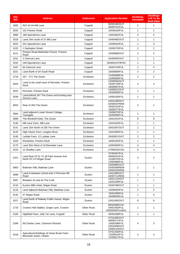| <b>Site</b><br><b>Ref</b> | <b>Address</b>                                                        | <b>Settlement</b>  | <b>Application Number</b>                                                    | <b>Dwellings</b><br><b>Permitted</b> | <b>Dwellings</b><br>Left To Be<br><b>Built (Net)</b> |
|---------------------------|-----------------------------------------------------------------------|--------------------|------------------------------------------------------------------------------|--------------------------------------|------------------------------------------------------|
| 1682                      | R/O 42-44 Mill Lane                                                   | Coppull            | 00/00190/OUT<br>00/00701/FUL                                                 | 2                                    | $\mathbf{1}$                                         |
| 2625                      | 151 Preston Road                                                      | Coppull            | 10/00529/FUL                                                                 | $\mathbf{1}$                         | $\mathbf{1}$                                         |
| 2989                      | 186 Spendmore Lane                                                    | Coppull            | 13/01081/FUL                                                                 | $\overline{2}$                       | 2                                                    |
| 3018                      | Land 10m south of 37 Mill Lane                                        | Coppull            | 14/00485/OUT                                                                 | $\mathbf{1}$                         | $\mathbf{1}$                                         |
| 3022                      | 341 Spendmore Lane                                                    | Coppull            | 14/00632/FUL                                                                 | $\mathbf{1}$                         | $\mathbf 0$                                          |
| 3102                      | 1 Darlington Street                                                   | Coppull            | 12/00270/FUL                                                                 | 2                                    | $\overline{2}$                                       |
| 3111                      | Preston Road Methodist Church, Preston<br>Road                        | Coppull            | 14/00969/OUT                                                                 | $\overline{2}$                       | $\overline{2}$                                       |
| 3151                      | 3 Clancutt Lane                                                       | Coppull            | 16/00005/OUT                                                                 | $\mathbf{1}$                         | $\mathbf{1}$                                         |
| 3152                      | 248 Spendmore Lane                                                    | Coppull            | 16/00021/P3PAN                                                               | $\mathbf{1}$                         | $\mathbf{1}$                                         |
| 3187                      | 84 Clancutt Lane                                                      | Coppull            | 16/00743/FUL                                                                 | $\mathbf{1}$                         | $\Omega$                                             |
| 3221                      | Land North of 2A South Road                                           | Coppull            | 16/00869/FUL                                                                 | 2                                    | 2                                                    |
| 2719                      | 267 - 271 The Green                                                   | Eccleston          | 11/00308/FUL<br>11/00659/FUL                                                 | 2                                    | 2                                                    |
| 3024                      | Land to the south west of Ricmarlo, Preston<br>Nook                   | Eccleston          | 14/00550/OUT<br>15/00719/FUL<br>16/00667/FUL                                 | 3                                    | 3                                                    |
| 3025                      | Ricmarlo, Preston Nook                                                | Eccleston          | 14/00551/OUT<br>15/00656/FUL                                                 | $\mathbf{1}$                         | $\mathbf{1}$                                         |
| 3039                      | Land behind 167 The Green and fronting onto<br>Doctors Lane           | Eccleston          | 14/00150/FUL                                                                 | $\mathbf{1}$                         | $\mathbf{1}$                                         |
| 3053                      | Rear of 203 The Green                                                 | Eccleston          | 14/01248/OUT<br>15/00597/REM<br>16/00153/FUL<br>16/00477/FUL                 | 2                                    | 1                                                    |
| 3064                      | Land adjacent Lower House Cottage,<br>Towngate                        | Eccleston          | 13/00675/FUL<br>15/00080/FUL                                                 | 1                                    | 1                                                    |
| 3089                      | The Windmill Hotel, The Green                                         | Eccleston          | 14/01331/FUL                                                                 | 9                                    | 9                                                    |
| 3130                      | Mill Lane Farm, Mill Lane                                             | Eccleston          | 15/01025/FUL                                                                 | $\mathbf{1}$                         | $\mathbf{1}$                                         |
| 3141                      | Land 15m North of 238 The Green                                       | Eccleston          | 15/01067/OUT                                                                 | $\mathbf{1}$                         | $\mathbf{1}$                                         |
| 3142                      | High Heyes Farm, Langton Brow                                         | Eccleston          | 15/01085/FUL                                                                 | $\mathbf{1}$                         | $\mathbf{1}$                                         |
| 3145                      | Lydiate Farm, 12 Lydiate Lane                                         | Eccleston          | 16/00007/OUT                                                                 | 2                                    | 2                                                    |
| 3164                      | Woodview, Preston Nook                                                | Eccleston          | 16/00162/FUL                                                                 | $\mathbf{1}$                         | $\mathbf{1}$                                         |
| 3170                      | Land 35m West of 19 Bannister Lane                                    | Eccleston          | 16/00359/FUL                                                                 | $\overline{4}$                       | 4                                                    |
| 3224                      | 1C Bradley Lane                                                       | Eccleston          | 17/00023/COU                                                                 | 0                                    | $-1$                                                 |
| 2321                      | Land Rear Of 31 To 39 Park Avenue And<br>North Of 173 Wigan Road      | Euxton             | 07/00497/FUL<br>08/00201/FUL<br>11/00070/FUL<br>12/00498/FUL                 | 3                                    | 2                                                    |
| 3063                      | Balshaw Villa, Balshaw Lane                                           | Euxton             | 13/00985/OUT<br>15/00308/REM<br>16/00326/REM                                 | $\mathbf{1}$                         | $\mathbf{1}$                                         |
| 3088                      | Land in-between school and 1 Primrose Hill<br>Road                    | Euxton             | 14/01080/OUT<br>16/00711/REM                                                 | $\mathbf{1}$                         | $\mathbf{1}$                                         |
| 3097                      | Between 42 and 44 The Croft                                           | Euxton             | 14/01112/OUT<br>15/01259/FUL                                                 | $\mathbf{1}$                         | $\mathbf{1}$                                         |
| 3110                      | Euxton Mills Hotel, Wigan Road                                        | Euxton             | 15/00768/OUT                                                                 | $\mathbf{1}$                         | $\mathbf{1}$                                         |
| 3116                      | Land adjacent Balshaw Villa, Balshaw Lane                             | Euxton             | 15/00635/FUL                                                                 | 2                                    | $\overline{2}$                                       |
| 3132                      | 47 Wigan Road                                                         | Euxton             | 15/01036/FUL<br>16/00835/FUL                                                 | $\mathbf{1}$                         | $\mathbf 0$                                          |
| 3227                      | Land North of Railway Public House, Wigan<br>Road                     | Euxton             | 15/01092/OUT                                                                 | 9                                    | 9                                                    |
| 1716                      | Croston Hall Stables, Grape Lane, Croston                             | <b>Other Rural</b> | 00/00488/COU<br>04/01443/FUL<br>15/00540/FULMAJ                              | 1                                    | 1                                                    |
| 2105                      | Highfield Farm, Jolly Tar Lane, Coppull                               | <b>Other Rural</b> | 05/00188/FUL                                                                 | $\mathbf{1}$                         | $\mathbf{1}$                                         |
| 2348                      | 69 Charter Lane, Charnock Richard                                     | <b>Other Rural</b> | 07/01068/OUT<br>08/00471/FUL<br>10/00298/FUL<br>10/01069/OUT<br>14/00110/OUT | 4                                    | 3                                                    |
| 2418                      | Agricultural Buildings At Howe Brook Farm,<br>Bannister Green, Heskin | <b>Other Rural</b> | 07/01340/FUL<br>12/00915/FUL<br>12/00917/FUL                                 | 2                                    | 2                                                    |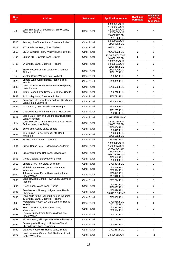| <b>Site</b><br><b>Ref</b> | <b>Address</b>                                                                     | <b>Settlement</b>  | <b>Application Number</b>                                                                    | <b>Dwellings</b><br><b>Permitted</b> | <b>Dwellings</b><br><b>Left To Be</b><br><b>Built (Net)</b> |
|---------------------------|------------------------------------------------------------------------------------|--------------------|----------------------------------------------------------------------------------------------|--------------------------------------|-------------------------------------------------------------|
| 2439                      | Land 18m East Of Beechcroft, Brook Lane,<br><b>Charnock Richard</b>                | <b>Other Rural</b> | 08/00308/OUT<br>11/00298/OUT<br>12/00244/OUT<br>15/00078/OUT<br>15/00257/REM<br>16/01196/FUL | 1                                    | 1                                                           |
| 2506                      | Annbray, 29 Charter Lane, Charnock Richard                                         | <b>Other Rural</b> | 09/00016/OUT<br>11/00599/FUL                                                                 | $\overline{2}$                       | $\overline{2}$                                              |
| 2512                      | 267 Southport Road, Ulnes Walton                                                   | <b>Other Rural</b> | 09/00151/FUL                                                                                 | $\mathbf{1}$                         | $\mathbf{1}$                                                |
| 2568                      | SE Of Windmill Farm, Windmill Lane, Brindle                                        | <b>Other Rural</b> | 09/01032/FUL                                                                                 | 2                                    | $\mathbf{1}$                                                |
| 2704                      | Euxton Mill, Dawbers Lane, Euxton                                                  | <b>Other Rural</b> | 10/00456/OUTMAJ<br>14/00913/REM                                                              | 6                                    | 6                                                           |
| 2709                      | 94 Chorley Lane, Charnock Richard                                                  | <b>Other Rural</b> | 10/00993/OUT<br>14/00510/OUT<br>16/00316/FUL                                                 | 2                                    | 2                                                           |
| 2743                      | Brook House Farm, Brook Lane, Charnock<br>Richard                                  | <b>Other Rural</b> | 11/00804/FUL<br>12/00157/FUL                                                                 | $\mathbf{1}$                         | $\mathbf{1}$                                                |
| 2753                      | Mynton Court, Withnell Fold, Withnell                                              | <b>Other Rural</b> | 12/00071/FUL                                                                                 | $\mathbf{1}$                         | $\mathbf{1}$                                                |
| 2820                      | Brindle Waterworks House, Pippin Street,<br><b>Brindle</b>                         | <b>Other Rural</b> | 12/00363/FUL                                                                                 | 1                                    | 1                                                           |
| 2833                      | Land Opposite Hurst House Farm, Halfpenny<br>Lane, Heskin                          | Other Rural        | 12/00539/FUL                                                                                 | 2                                    | $\overline{2}$                                              |
| 2842                      | White House Farm, Crosse Hall Lane, Chorley                                        | Other Rural        | 12/00748/FUL                                                                                 | $\mathbf{1}$                         | 1                                                           |
| 2843                      | 94 Chorley Lane, Charnock Richard                                                  | Other Rural        | 12/00771/FUL                                                                                 | $\mathbf{1}$                         | $\mathbf{1}$                                                |
| 2845                      | Barn Opposite Lowe Farm Cottage, Rawlinson<br>Lane, Heath Charnock                 | <b>Other Rural</b> | 12/00845/FUL                                                                                 | $\mathbf{1}$                         | $\mathbf{1}$                                                |
| 2852                      | Morris Barn, Dean Head Lane, Rivington                                             | <b>Other Rural</b> | 12/00949/FUL                                                                                 | $\mathbf{1}$                         | $\mathbf{1}$                                                |
| 2868                      | Grange House Mill, Smithy Lane, Mawdesley                                          | <b>Other Rural</b> | 12/01207/FUL<br>13/00917/FUL                                                                 | $\mathbf{1}$                         | $\mathbf{1}$                                                |
| 2901                      | Close Gate Farm and Land to rear Buckholes<br>Lane, Wheelton                       | <b>Other Rural</b> | 12/01158/FULMAJ                                                                              | $\mathbf{1}$                         | $\mathbf{1}$                                                |
| 2917                      | Land Between Grange House And Glen Haffy,<br>Smithy Lane, Mawdesley                | <b>Other Rural</b> | 12/01206/OUT<br>15/00025/REM                                                                 | $\mathbf{1}$                         | $\mathbf{1}$                                                |
| 2920                      | Bury Farm, Sandy Lane, Brindle                                                     | Other Rural        | 13/00064/FUL<br>16/00449/FUL                                                                 | $\mathbf{1}$                         | $\mathbf{1}$                                                |
| 2942                      | The Engine House, Brinscall Mill Road,<br>Wheelton                                 | <b>Other Rural</b> | 13/00390/FUL<br>16/00559/FUL                                                                 | $\mathbf{1}$                         | $\mathbf{1}$                                                |
| 2961                      | 26 Long Lane, Heath Charnock                                                       | <b>Other Rural</b> | 13/00631/FUL                                                                                 | $\mathbf{1}$                         | $\mathbf{1}$                                                |
| 2984                      | Brown House Farm, Bolton Road, Anderton                                            | <b>Other Rural</b> | 13/00846/OUT<br>15/00937/OUT<br>16/00180/REM                                                 | $\mathbf{1}$                         | 1                                                           |
| 2993                      | Brookmere Farm, Hall Lane, Mawdesley                                               | <b>Other Rural</b> | 13/00920/FUL<br>16/00256/MNMA                                                                | $\mathbf{1}$                         | $\mathbf{1}$                                                |
| 3003                      | Myrtle Cottage, Sandy Lane, Brindle                                                | <b>Other Rural</b> | 13/00940/FUL<br>16/00006/FUL                                                                 | $\mathbf{1}$                         | $\mathbf{1}$                                                |
| 3010                      | Brindle Croft, New Lane, Eccleston                                                 | <b>Other Rural</b> | 14/00394/FUL                                                                                 | $\mathbf{1}$                         | $\mathbf{1}$                                                |
| 3012                      | Highfield House Farm, Buckholes Lane,<br>Wheelton                                  | <b>Other Rural</b> | 14/00294/FUL<br>16/00394/FUL                                                                 | $\mathbf{1}$                         | $\mathbf{1}$                                                |
| 3032                      | Johnson House Farm, Ulnes Walton Lane,<br><b>Ulnes Walton</b>                      | <b>Other Rural</b> | 14/00442/FUL<br>14/01315/FUL                                                                 | $\overline{2}$                       | $\mathbf{1}$                                                |
| 3033                      | Land between 1 and 5 Town Lane, Charnock<br>Richard                                | <b>Other Rural</b> | 13/01224/FUL                                                                                 | $\mathbf{1}$                         | $\mathbf{1}$                                                |
| 3034                      | Green Farm, Wood Lane, Heskin                                                      | <b>Other Rural</b> | 14/00952/FUL<br>17/00032/FUL                                                                 | 3                                    | 3                                                           |
| 3043                      | Bramblewood Nursery, Wigan Lane, Heath<br>Charnock                                 | Other Rural        | 14/00626/FUL<br>16/01178/MNMA                                                                | 1                                    | $\mathbf{1}$                                                |
| 3045                      | Land north to the rear of 34-42 and including<br>42 Chorley Lane, Charnock Richard | <b>Other Rural</b> | 13/00600/FUL                                                                                 | 8                                    | 8                                                           |
| 3048                      | Waterstone House, 1A Dark Lane, Whittle-le-<br>Woods                               | Other Rural        | 14/00966/FUL<br>15/01185/FUL                                                                 | 2                                    | 2                                                           |
| 3049                      | Pear Tree House, Blue Stone Lane,<br>Mawdesley                                     | <b>Other Rural</b> | 14/00931/FUL<br>16/00594/FUL                                                                 | $\mathbf{1}$                         | $\mathbf{1}$                                                |
| 3051                      | Lostock Bridge Farm, Ulnes Walton Lane,<br><b>Ulnes Walton</b>                     | <b>Other Rural</b> | 14/00781/FUL                                                                                 | $\mathbf{1}$                         | $\mathbf{1}$                                                |
| 3057                      | Hill Top Farm, Hill Top Lane, Whittle-le-Woods                                     | <b>Other Rural</b> | 14/01180/FUL                                                                                 | $\mathbf{1}$                         | $\mathbf{1}$                                                |
| 3059                      | Barn opposite Rivington Unitarian Chapel,<br>Sheep House Lane, Rivington           | <b>Other Rural</b> | 14/00911/FUL                                                                                 | $\mathbf{1}$                         | $\mathbf{1}$                                                |
| 3069                      | Crabtree House, Hill House Lane, Brindle                                           | <b>Other Rural</b> | 14/01267/FUL                                                                                 | $\mathbf{1}$                         | $\mathbf 0$                                                 |
| 3073                      | Land between 386 and 392 Blackburn Road,<br><b>Higher Wheelton</b>                 | Other Rural        | 14/00601/OUT                                                                                 | $\overline{2}$                       | $\overline{2}$                                              |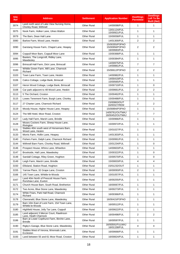| <b>Site</b><br><b>Ref</b> | <b>Address</b>                                                       | <b>Settlement</b>  | <b>Application Number</b>                        | <b>Dwellings</b><br><b>Permitted</b> | <b>Dwellings</b><br>Left To Be<br><b>Built (Net)</b> |
|---------------------------|----------------------------------------------------------------------|--------------------|--------------------------------------------------|--------------------------------------|------------------------------------------------------|
| 3074                      | Land north west of Lake View Nursing Home,<br>Chorley Road, Withnell | <b>Other Rural</b> | 14/00098/FUL                                     | $\mathbf{1}$                         | $\mathbf{1}$                                         |
| 3075                      | Nook Farm, Holker Lane, Ulnes Walton                                 | <b>Other Rural</b> | 13/01124/FUL<br>15/00921/FUL                     | $\mathbf{1}$                         | $\mathbf{1}$                                         |
| 3079                      | The Barn, Dean Hall Lane                                             | <b>Other Rural</b> | 15/00058/FUL                                     | $\mathbf{1}$                         | $\mathbf{1}$                                         |
| 3080                      | Barlow Farm, Wood Lane, Heskin                                       | <b>Other Rural</b> | 14/01300/FUL                                     | $\overline{2}$                       | 2                                                    |
| 3090                      | Garstang House Farm, Chapel Lane, Heapey                             | <b>Other Rural</b> | 15/00355/P3PAO<br>15/00958/P3PAO<br>16/00683/FUL | 2                                    | 2                                                    |
| 3094                      | Coppull Moor Barn, Coppull Moor Lane                                 | <b>Other Rural</b> | 15/00368/FUL                                     | $\mathbf{1}$                         | 1                                                    |
| 3095                      | Baxters, The Longcroft, Ridley Lane,<br>Mawdesley                    | <b>Other Rural</b> | 15/00384/FUL                                     | $\mathbf{1}$                         | 1                                                    |
| 3096                      | Brinscall Hall Farm, Dick Lane, Brinscall                            | <b>Other Rural</b> | 14/00975/FUL<br>14/00881/FUL                     | $\overline{7}$                       | $\overline{7}$                                       |
| 3100                      | Whittle Green Farm, Mill Lane, Charnock<br>Richard                   | <b>Other Rural</b> | 15/00612/P3PAO                                   | $\overline{2}$                       | 2                                                    |
| 3103                      | Town Lane Farm, Town Lane, Heskin                                    | <b>Other Rural</b> | 14/00982/FUL                                     | $\mathbf{1}$                         | 1                                                    |
| 3106                      | Calico Cottage, Lodge Bank, Brinscall                                | <b>Other Rural</b> | 14/00419/FUL<br>15/00565/FUL                     | $\mathbf{1}$                         | $\mathbf{1}$                                         |
| 3107                      | Heron Wood Cottage, Lodge Bank, Brinscall                            | <b>Other Rural</b> | 15/00710/FUL                                     | $\mathbf{1}$                         | 0                                                    |
| 3108                      | Car park adjacent to 48 Wood Lane, Heskin                            | <b>Other Rural</b> | 15/00661/FUL                                     | 2                                    | 2                                                    |
| 3113                      | 5 The Orchard, Croston                                               | <b>Other Rural</b> | 15/00462/FUL                                     | $\mathbf{1}$                         | 1                                                    |
| 3115                      | Lowes Tenement Farm, Burgh Lane, Chorley                             | <b>Other Rural</b> | 15/00488/FUL                                     | $\mathbf{1}$                         | 1                                                    |
| 3117                      | 27 Charter Lane, Charnock Richard                                    | <b>Other Rural</b> | 15/00863/OUT<br>16/00327/REM                     | 2                                    | 2                                                    |
| 3119                      | Moody House, Higher House Lane, Heapey                               | <b>Other Rural</b> | 15/00894/P3PAO                                   | $\mathbf{1}$                         | $\mathbf{1}$                                         |
| 3124                      | The Mill Hotel, Moor Road, Croston                                   | <b>Other Rural</b> | 14/00761/OUTMAJ<br>16/00452/OUTMAJ               | $\overline{7}$                       | $\overline{7}$                                       |
| 3127                      | Lady Hall Farm, Marsh Lane, Brindle                                  | <b>Other Rural</b> | 15/00966/FUL                                     | $\mathbf{1}$                         | 1                                                    |
| 3128                      | Moses Cockers Farm, Sheep House Lane,<br>Rivington                   | <b>Other Rural</b> | 15/00972/FUL                                     | $\mathbf{1}$                         | 1                                                    |
| 3131                      | Stables 40m south west of Horsemans Barn,<br>Wood Lane, Heskin       | <b>Other Rural</b> | 15/01027/FUL                                     | $\mathbf{1}$                         | 1                                                    |
| 3133                      | Morris Farm, Hollin Lane, Heapey                                     | <b>Other Rural</b> | 14/01303/FUL                                     | $\mathbf{1}$                         | 1                                                    |
| 3140                      | Fishers Farm, Delph Lane, Charnock Richard                           | <b>Other Rural</b> | 15/00991/FUL                                     | $\mathbf{1}$                         | $\mathbf{1}$                                         |
| 3144                      | Withnell Barn Farm, Chorley Road, Withnell                           | <b>Other Rural</b> | 15/01234/FUL                                     | $\mathbf{1}$                         | 0                                                    |
| 3146                      | Prospect House, Whins Lane, Wheelton                                 | Other Rural        | 14/00603/FUL                                     | $\mathbf{1}$                         | 1                                                    |
| 3147                      | Brookside, Hall Lane, Mawdesley                                      | <b>Other Rural</b> | 15/00322/FUL                                     | 1                                    | 0                                                    |
| 3148                      | Sandall Cottage, Riley Green, Hoghton                                | <b>Other Rural</b> | 15/00570/FUL                                     | 1                                    | 0                                                    |
| 3149                      | Leigh Farm, Marsh Lane, Brindle                                      | <b>Other Rural</b> | 15/00833/FUL                                     | 4                                    | 4                                                    |
| 3150                      | Ellisland, Station Road, Hoghton                                     | <b>Other Rural</b> | 15/01232/OUT                                     | 1                                    | 1                                                    |
| 3155                      | Yarrow Place, 32 Grape Lane, Croston                                 | <b>Other Rural</b> | 16/00093/FUL                                     | $\overline{2}$                       | 1                                                    |
| 3166                      | 145 Town Lane, Whittle-le-Woods                                      | <b>Other Rural</b> | 15/01057/FUL                                     | 1                                    | 1                                                    |
| 3167                      | Land 40m North of Prescott House Farm,<br>Runshaw Lane, Euxton       | <b>Other Rural</b> | 16/00255/FUL                                     | $\mathbf{1}$                         | 1                                                    |
| 3171                      | Church House Barn, South Road, Bretherton                            | <b>Other Rural</b> | 16/00067/FUL                                     | 1                                    | 1                                                    |
| 3172                      | Two Acres, Blue Stone Lane, Mawdesley                                | <b>Other Rural</b> | 16/00273/FUL                                     | 1                                    | 1                                                    |
| 3174                      | White Friars, Park Hall Road, Charnock<br>Richard                    | <b>Other Rural</b> | 16/00366/FUL                                     | $\mathbf{1}$                         | 1                                                    |
| 3178                      | Clanranald, Blue Stone Lane, Mawdesley                               | <b>Other Rural</b> | 16/00415/P3PAO                                   | $\mathbf{1}$                         | 1                                                    |
| 3179                      | Barn 10m East of Lock Farm, 154 Town Lane,<br>Whittle-le-Woods       | <b>Other Rural</b> | 16/00512/FUL                                     | 1                                    | 1                                                    |
| 3180                      | Highfield House, Jolly Tar Lane, Coppull                             | <b>Other Rural</b> | 16/00622/FUL                                     | 1                                    | 1                                                    |
| 3185                      | Land adjacent 3 Mercer Court, Rawlinson<br>Lane, Heath Charnock      | <b>Other Rural</b> | 16/00498/FUL                                     | 2                                    | 2                                                    |
| 3186                      | Barn at Lower Copthurst Farm, Birchin Lane,<br><b>Brindle</b>        | <b>Other Rural</b> | 16/00597/FUL                                     | 1                                    | 1                                                    |
| 3190                      | Rigby's Garage, Blue Stone Lane, Mawdesley                           | <b>Other Rural</b> | 16/00591/FULMAJ<br>16/01158/FUL                  | 4                                    | 4                                                    |
| 3191                      | Stables West of Verona, Wrennals Lane,<br>Eccleston                  | <b>Other Rural</b> | 16/00668/FUL                                     | 1                                    | 1                                                    |
| 3193                      | Land between 55 and 61 Moor Road, Croston                            | Other Rural        | 16/00824/FUL                                     | $\mathbf{1}$                         | $\mathbf{1}$                                         |